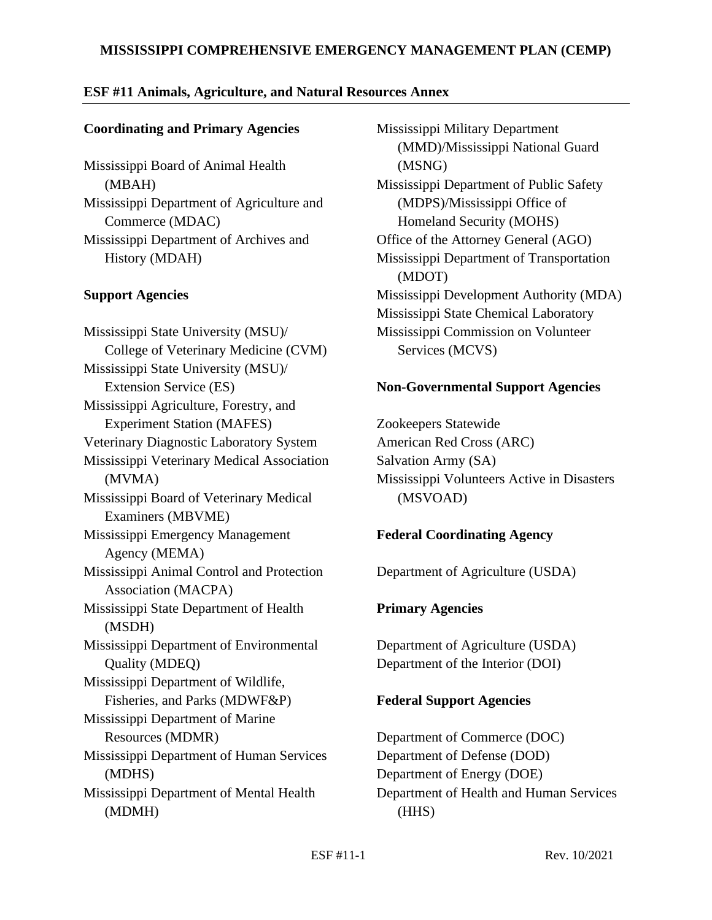#### **MISSISSIPPI COMPREHENSIVE EMERGENCY MANAGEMENT PLAN (CEMP)**

#### **ESF #11 Animals, Agriculture, and Natural Resources Annex**

#### **Coordinating and Primary Agencies**

Mississippi Board of Animal Health (MBAH) Mississippi Department of Agriculture and Commerce (MDAC) Mississippi Department of Archives and History (MDAH)

#### **Support Agencies**

Mississippi State University (MSU)/ College of Veterinary Medicine (CVM) Mississippi State University (MSU)/ Extension Service (ES) Mississippi Agriculture, Forestry, and Experiment Station (MAFES) Veterinary Diagnostic Laboratory System Mississippi Veterinary Medical Association (MVMA) Mississippi Board of Veterinary Medical Examiners (MBVME) Mississippi Emergency Management Agency (MEMA) Mississippi Animal Control and Protection Association (MACPA) Mississippi State Department of Health (MSDH) Mississippi Department of Environmental Quality (MDEQ) Mississippi Department of Wildlife, Fisheries, and Parks (MDWF&P) Mississippi Department of Marine Resources (MDMR) Mississippi Department of Human Services (MDHS) Mississippi Department of Mental Health (MDMH)

Mississippi Military Department (MMD)/Mississippi National Guard (MSNG) Mississippi Department of Public Safety (MDPS)/Mississippi Office of Homeland Security (MOHS) Office of the Attorney General (AGO) Mississippi Department of Transportation (MDOT) Mississippi Development Authority (MDA) Mississippi State Chemical Laboratory Mississippi Commission on Volunteer Services (MCVS)

#### **Non-Governmental Support Agencies**

Zookeepers Statewide American Red Cross (ARC) Salvation Army (SA) Mississippi Volunteers Active in Disasters (MSVOAD)

#### **Federal Coordinating Agency**

Department of Agriculture (USDA)

#### **Primary Agencies**

Department of Agriculture (USDA) Department of the Interior (DOI)

#### **Federal Support Agencies**

Department of Commerce (DOC) Department of Defense (DOD) Department of Energy (DOE) Department of Health and Human Services (HHS)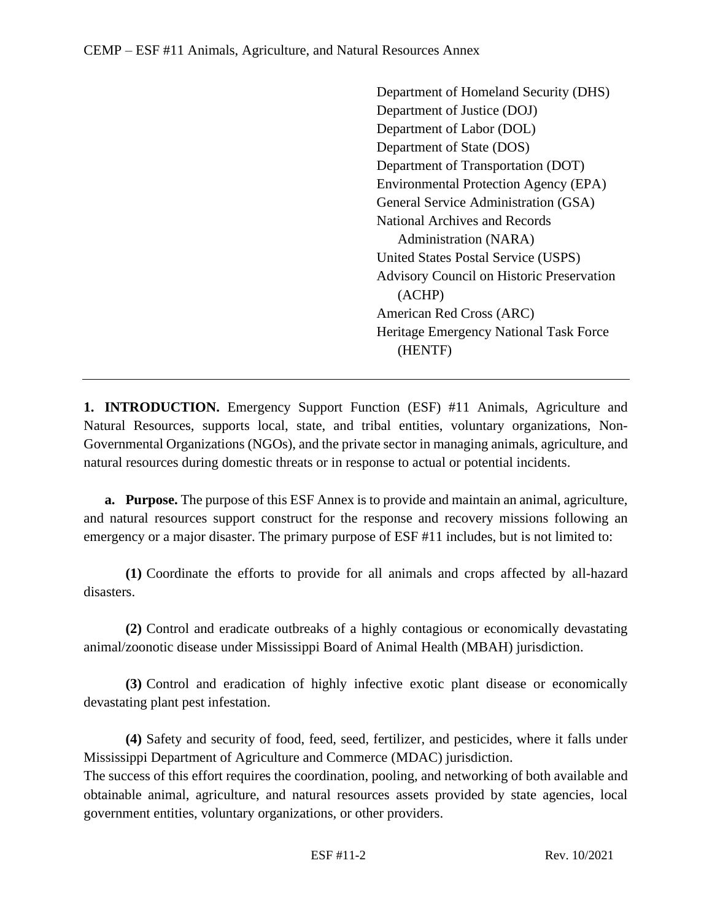Department of Homeland Security (DHS) Department of Justice (DOJ) Department of Labor (DOL) Department of State (DOS) Department of Transportation (DOT) Environmental Protection Agency (EPA) General Service Administration (GSA) National Archives and Records Administration (NARA) United States Postal Service (USPS) Advisory Council on Historic Preservation (ACHP) American Red Cross (ARC) Heritage Emergency National Task Force (HENTF)

**1. INTRODUCTION.** Emergency Support Function (ESF) #11 Animals, Agriculture and Natural Resources, supports local, state, and tribal entities, voluntary organizations, Non-Governmental Organizations (NGOs), and the private sector in managing animals, agriculture, and natural resources during domestic threats or in response to actual or potential incidents.

**a. Purpose.** The purpose of this ESF Annex is to provide and maintain an animal, agriculture, and natural resources support construct for the response and recovery missions following an emergency or a major disaster. The primary purpose of ESF #11 includes, but is not limited to:

**(1)** Coordinate the efforts to provide for all animals and crops affected by all-hazard disasters.

**(2)** Control and eradicate outbreaks of a highly contagious or economically devastating animal/zoonotic disease under Mississippi Board of Animal Health (MBAH) jurisdiction.

**(3)** Control and eradication of highly infective exotic plant disease or economically devastating plant pest infestation.

**(4)** Safety and security of food, feed, seed, fertilizer, and pesticides, where it falls under Mississippi Department of Agriculture and Commerce (MDAC) jurisdiction.

The success of this effort requires the coordination, pooling, and networking of both available and obtainable animal, agriculture, and natural resources assets provided by state agencies, local government entities, voluntary organizations, or other providers.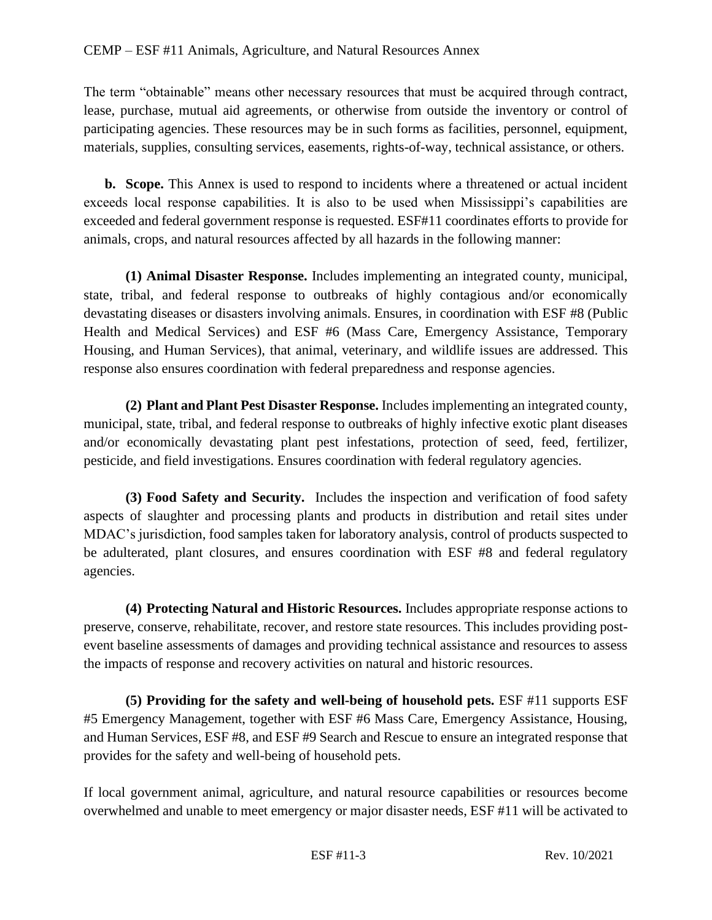The term "obtainable" means other necessary resources that must be acquired through contract, lease, purchase, mutual aid agreements, or otherwise from outside the inventory or control of participating agencies. These resources may be in such forms as facilities, personnel, equipment, materials, supplies, consulting services, easements, rights-of-way, technical assistance, or others.

**b. Scope.** This Annex is used to respond to incidents where a threatened or actual incident exceeds local response capabilities. It is also to be used when Mississippi's capabilities are exceeded and federal government response is requested. ESF#11 coordinates efforts to provide for animals, crops, and natural resources affected by all hazards in the following manner:

**(1) Animal Disaster Response.** Includes implementing an integrated county, municipal, state, tribal, and federal response to outbreaks of highly contagious and/or economically devastating diseases or disasters involving animals. Ensures, in coordination with ESF #8 (Public Health and Medical Services) and ESF #6 (Mass Care, Emergency Assistance, Temporary Housing, and Human Services), that animal, veterinary, and wildlife issues are addressed. This response also ensures coordination with federal preparedness and response agencies.

**(2) Plant and Plant Pest Disaster Response.** Includes implementing an integrated county, municipal, state, tribal, and federal response to outbreaks of highly infective exotic plant diseases and/or economically devastating plant pest infestations, protection of seed, feed, fertilizer, pesticide, and field investigations. Ensures coordination with federal regulatory agencies.

**(3) Food Safety and Security.** Includes the inspection and verification of food safety aspects of slaughter and processing plants and products in distribution and retail sites under MDAC's jurisdiction, food samples taken for laboratory analysis, control of products suspected to be adulterated, plant closures, and ensures coordination with ESF #8 and federal regulatory agencies.

**(4) Protecting Natural and Historic Resources.** Includes appropriate response actions to preserve, conserve, rehabilitate, recover, and restore state resources. This includes providing postevent baseline assessments of damages and providing technical assistance and resources to assess the impacts of response and recovery activities on natural and historic resources.

**(5) Providing for the safety and well-being of household pets.** ESF #11 supports ESF #5 Emergency Management, together with ESF #6 Mass Care, Emergency Assistance, Housing, and Human Services, ESF #8, and ESF #9 Search and Rescue to ensure an integrated response that provides for the safety and well-being of household pets.

If local government animal, agriculture, and natural resource capabilities or resources become overwhelmed and unable to meet emergency or major disaster needs, ESF #11 will be activated to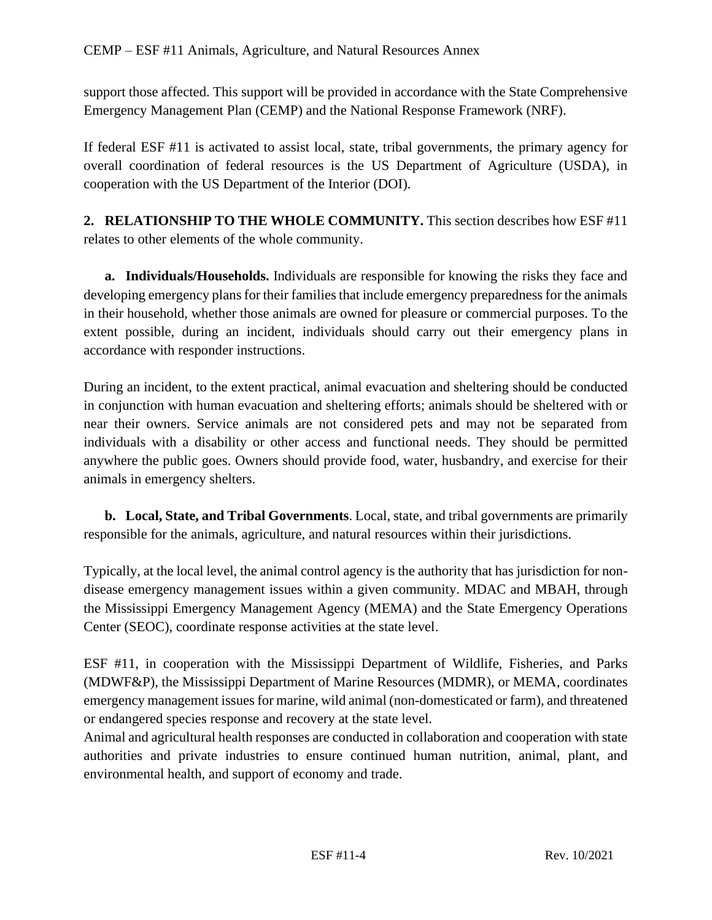support those affected. This support will be provided in accordance with the State Comprehensive Emergency Management Plan (CEMP) and the National Response Framework (NRF).

If federal ESF #11 is activated to assist local, state, tribal governments, the primary agency for overall coordination of federal resources is the US Department of Agriculture (USDA), in cooperation with the US Department of the Interior (DOI).

**2. RELATIONSHIP TO THE WHOLE COMMUNITY.** This section describes how ESF #11 relates to other elements of the whole community.

**a. Individuals/Households.** Individuals are responsible for knowing the risks they face and developing emergency plans for their families that include emergency preparedness for the animals in their household, whether those animals are owned for pleasure or commercial purposes. To the extent possible, during an incident, individuals should carry out their emergency plans in accordance with responder instructions.

During an incident, to the extent practical, animal evacuation and sheltering should be conducted in conjunction with human evacuation and sheltering efforts; animals should be sheltered with or near their owners. Service animals are not considered pets and may not be separated from individuals with a disability or other access and functional needs. They should be permitted anywhere the public goes. Owners should provide food, water, husbandry, and exercise for their animals in emergency shelters.

**b. Local, State, and Tribal Governments**. Local, state, and tribal governments are primarily responsible for the animals, agriculture, and natural resources within their jurisdictions.

Typically, at the local level, the animal control agency is the authority that has jurisdiction for nondisease emergency management issues within a given community. MDAC and MBAH, through the Mississippi Emergency Management Agency (MEMA) and the State Emergency Operations Center (SEOC), coordinate response activities at the state level.

ESF #11, in cooperation with the Mississippi Department of Wildlife, Fisheries, and Parks (MDWF&P), the Mississippi Department of Marine Resources (MDMR), or MEMA, coordinates emergency management issues for marine, wild animal (non-domesticated or farm), and threatened or endangered species response and recovery at the state level.

Animal and agricultural health responses are conducted in collaboration and cooperation with state authorities and private industries to ensure continued human nutrition, animal, plant, and environmental health, and support of economy and trade.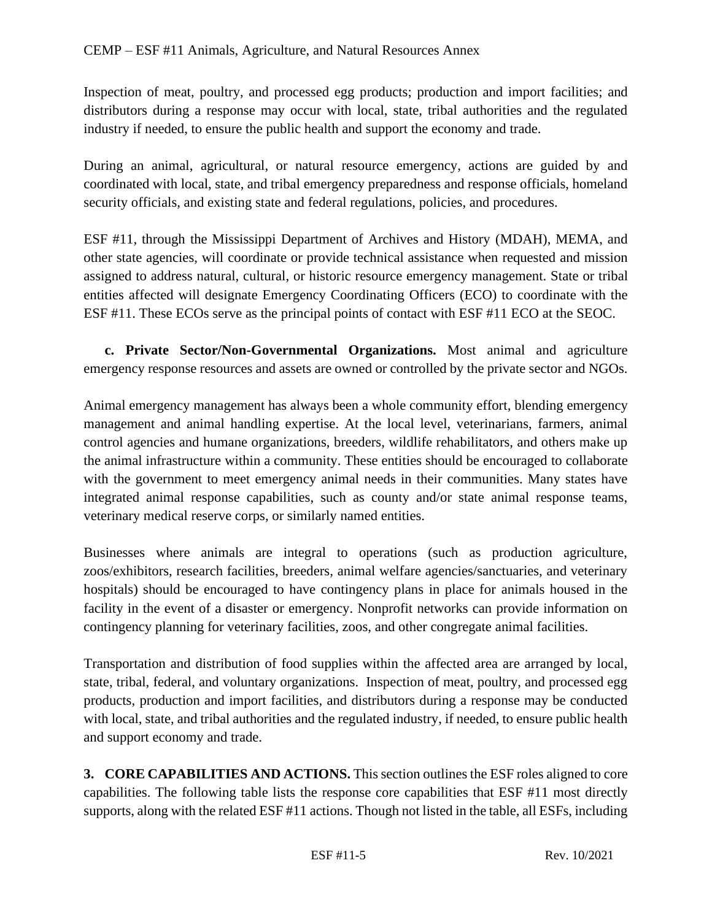Inspection of meat, poultry, and processed egg products; production and import facilities; and distributors during a response may occur with local, state, tribal authorities and the regulated industry if needed, to ensure the public health and support the economy and trade.

During an animal, agricultural, or natural resource emergency, actions are guided by and coordinated with local, state, and tribal emergency preparedness and response officials, homeland security officials, and existing state and federal regulations, policies, and procedures.

ESF #11, through the Mississippi Department of Archives and History (MDAH), MEMA, and other state agencies, will coordinate or provide technical assistance when requested and mission assigned to address natural, cultural, or historic resource emergency management. State or tribal entities affected will designate Emergency Coordinating Officers (ECO) to coordinate with the ESF #11. These ECOs serve as the principal points of contact with ESF #11 ECO at the SEOC.

**c. Private Sector/Non-Governmental Organizations.** Most animal and agriculture emergency response resources and assets are owned or controlled by the private sector and NGOs.

Animal emergency management has always been a whole community effort, blending emergency management and animal handling expertise. At the local level, veterinarians, farmers, animal control agencies and humane organizations, breeders, wildlife rehabilitators, and others make up the animal infrastructure within a community. These entities should be encouraged to collaborate with the government to meet emergency animal needs in their communities. Many states have integrated animal response capabilities, such as county and/or state animal response teams, veterinary medical reserve corps, or similarly named entities.

Businesses where animals are integral to operations (such as production agriculture, zoos/exhibitors, research facilities, breeders, animal welfare agencies/sanctuaries, and veterinary hospitals) should be encouraged to have contingency plans in place for animals housed in the facility in the event of a disaster or emergency. Nonprofit networks can provide information on contingency planning for veterinary facilities, zoos, and other congregate animal facilities.

Transportation and distribution of food supplies within the affected area are arranged by local, state, tribal, federal, and voluntary organizations. Inspection of meat, poultry, and processed egg products, production and import facilities, and distributors during a response may be conducted with local, state, and tribal authorities and the regulated industry, if needed, to ensure public health and support economy and trade.

**3. CORE CAPABILITIES AND ACTIONS.** This section outlines the ESF roles aligned to core capabilities. The following table lists the response core capabilities that ESF #11 most directly supports, along with the related ESF #11 actions. Though not listed in the table, all ESFs, including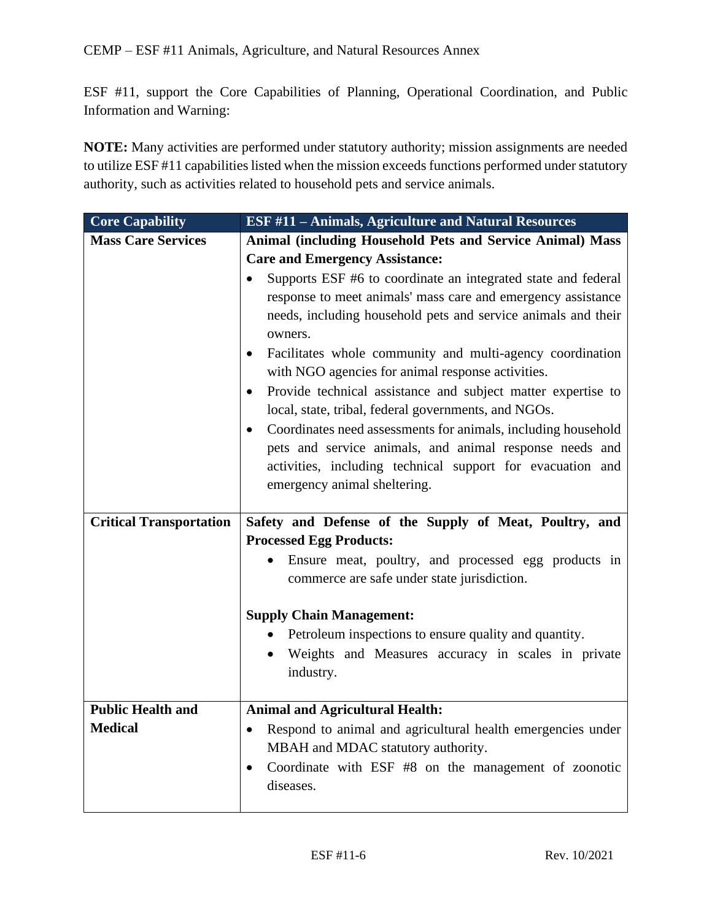ESF #11, support the Core Capabilities of Planning, Operational Coordination, and Public Information and Warning:

**NOTE:** Many activities are performed under statutory authority; mission assignments are needed to utilize ESF #11 capabilities listed when the mission exceeds functions performed under statutory authority, such as activities related to household pets and service animals.

| <b>Core Capability</b>         | <b>ESF #11 - Animals, Agriculture and Natural Resources</b>                                                   |
|--------------------------------|---------------------------------------------------------------------------------------------------------------|
| <b>Mass Care Services</b>      | Animal (including Household Pets and Service Animal) Mass                                                     |
|                                | <b>Care and Emergency Assistance:</b>                                                                         |
|                                | Supports ESF #6 to coordinate an integrated state and federal                                                 |
|                                | response to meet animals' mass care and emergency assistance                                                  |
|                                | needs, including household pets and service animals and their<br>owners.                                      |
|                                | Facilitates whole community and multi-agency coordination                                                     |
|                                | with NGO agencies for animal response activities.                                                             |
|                                | Provide technical assistance and subject matter expertise to                                                  |
|                                | local, state, tribal, federal governments, and NGOs.                                                          |
|                                | Coordinates need assessments for animals, including household                                                 |
|                                | pets and service animals, and animal response needs and                                                       |
|                                | activities, including technical support for evacuation and                                                    |
|                                | emergency animal sheltering.                                                                                  |
|                                |                                                                                                               |
| <b>Critical Transportation</b> | Safety and Defense of the Supply of Meat, Poultry, and                                                        |
|                                | <b>Processed Egg Products:</b>                                                                                |
|                                | Ensure meat, poultry, and processed egg products in                                                           |
|                                | commerce are safe under state jurisdiction.                                                                   |
|                                | <b>Supply Chain Management:</b>                                                                               |
|                                |                                                                                                               |
|                                | • Petroleum inspections to ensure quality and quantity.<br>Weights and Measures accuracy in scales in private |
|                                | industry.                                                                                                     |
|                                |                                                                                                               |
| <b>Public Health and</b>       | <b>Animal and Agricultural Health:</b>                                                                        |
| <b>Medical</b>                 | Respond to animal and agricultural health emergencies under<br>$\bullet$                                      |
|                                | MBAH and MDAC statutory authority.                                                                            |
|                                | Coordinate with ESF #8 on the management of zoonotic<br>$\bullet$                                             |
|                                | diseases.                                                                                                     |
|                                |                                                                                                               |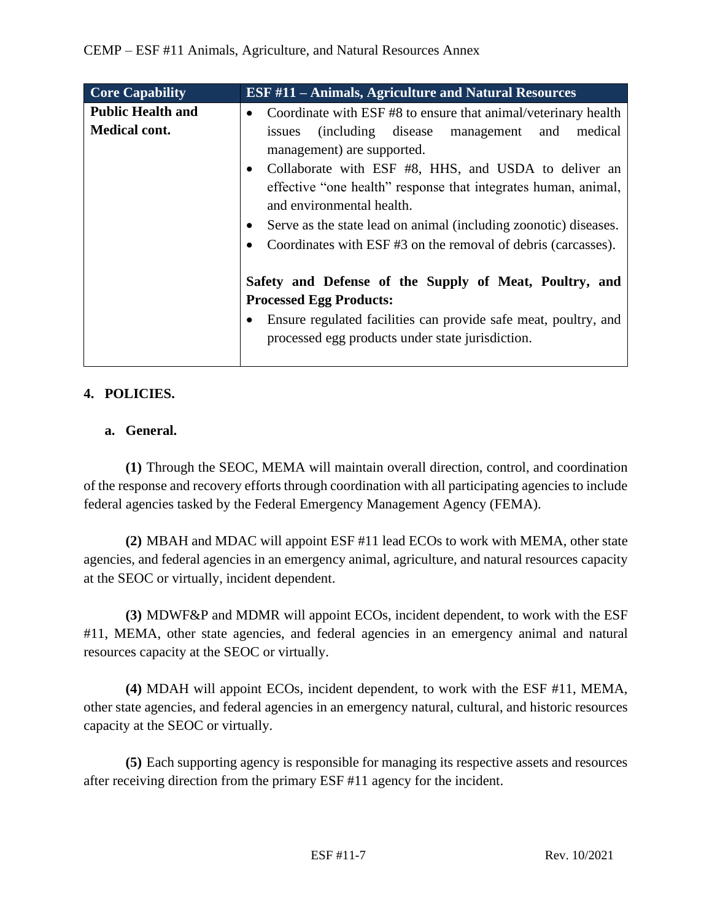| <b>Core Capability</b>   | <b>ESF #11 - Animals, Agriculture and Natural Resources</b>                                                                                                                                                     |
|--------------------------|-----------------------------------------------------------------------------------------------------------------------------------------------------------------------------------------------------------------|
| <b>Public Health and</b> | Coordinate with ESF #8 to ensure that animal/veterinary health                                                                                                                                                  |
| <b>Medical cont.</b>     | (including disease management<br>medical<br>and<br><i>issues</i><br>management) are supported.                                                                                                                  |
|                          | Collaborate with ESF #8, HHS, and USDA to deliver an<br>effective "one health" response that integrates human, animal,<br>and environmental health.                                                             |
|                          | Serve as the state lead on animal (including zoonotic) diseases.                                                                                                                                                |
|                          | Coordinates with ESF #3 on the removal of debris (carcasses).                                                                                                                                                   |
|                          | Safety and Defense of the Supply of Meat, Poultry, and<br><b>Processed Egg Products:</b><br>Ensure regulated facilities can provide safe meat, poultry, and<br>processed egg products under state jurisdiction. |

# **4. POLICIES.**

# **a. General.**

**(1)** Through the SEOC, MEMA will maintain overall direction, control, and coordination of the response and recovery efforts through coordination with all participating agencies to include federal agencies tasked by the Federal Emergency Management Agency (FEMA).

**(2)** MBAH and MDAC will appoint ESF #11 lead ECOs to work with MEMA, other state agencies, and federal agencies in an emergency animal, agriculture, and natural resources capacity at the SEOC or virtually, incident dependent.

**(3)** MDWF&P and MDMR will appoint ECOs, incident dependent, to work with the ESF #11, MEMA, other state agencies, and federal agencies in an emergency animal and natural resources capacity at the SEOC or virtually.

**(4)** MDAH will appoint ECOs, incident dependent, to work with the ESF #11, MEMA, other state agencies, and federal agencies in an emergency natural, cultural, and historic resources capacity at the SEOC or virtually.

**(5)** Each supporting agency is responsible for managing its respective assets and resources after receiving direction from the primary ESF #11 agency for the incident.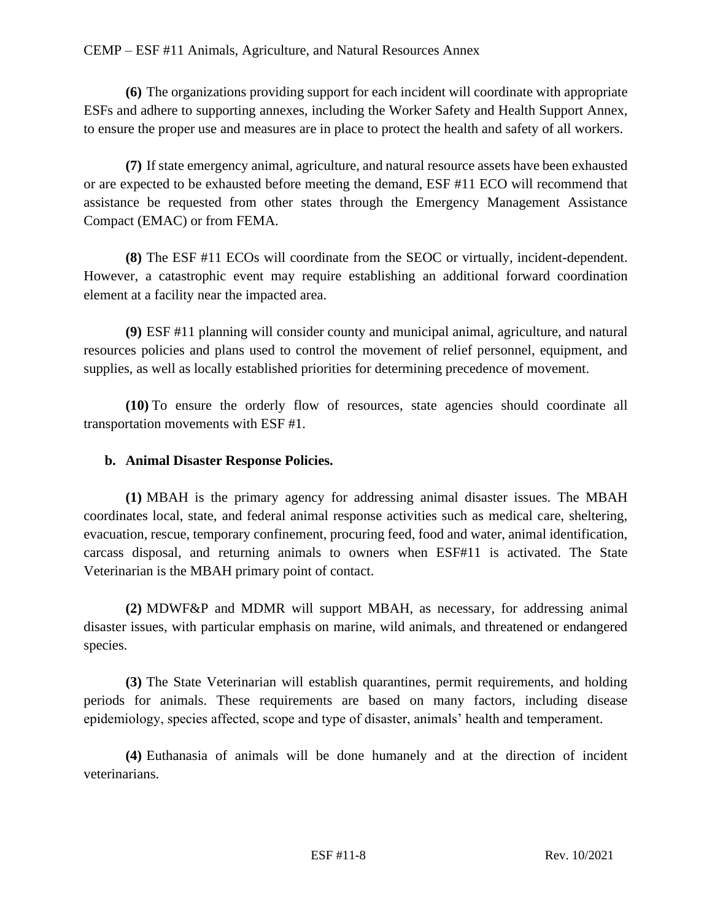**(6)** The organizations providing support for each incident will coordinate with appropriate ESFs and adhere to supporting annexes, including the Worker Safety and Health Support Annex, to ensure the proper use and measures are in place to protect the health and safety of all workers.

**(7)** If state emergency animal, agriculture, and natural resource assets have been exhausted or are expected to be exhausted before meeting the demand, ESF #11 ECO will recommend that assistance be requested from other states through the Emergency Management Assistance Compact (EMAC) or from FEMA.

**(8)** The ESF #11 ECOs will coordinate from the SEOC or virtually, incident-dependent. However, a catastrophic event may require establishing an additional forward coordination element at a facility near the impacted area.

**(9)** ESF #11 planning will consider county and municipal animal, agriculture, and natural resources policies and plans used to control the movement of relief personnel, equipment, and supplies, as well as locally established priorities for determining precedence of movement.

**(10)** To ensure the orderly flow of resources, state agencies should coordinate all transportation movements with ESF #1.

# **b. Animal Disaster Response Policies.**

**(1)** MBAH is the primary agency for addressing animal disaster issues. The MBAH coordinates local, state, and federal animal response activities such as medical care, sheltering, evacuation, rescue, temporary confinement, procuring feed, food and water, animal identification, carcass disposal, and returning animals to owners when ESF#11 is activated. The State Veterinarian is the MBAH primary point of contact.

**(2)** MDWF&P and MDMR will support MBAH, as necessary, for addressing animal disaster issues, with particular emphasis on marine, wild animals, and threatened or endangered species.

**(3)** The State Veterinarian will establish quarantines, permit requirements, and holding periods for animals. These requirements are based on many factors, including disease epidemiology, species affected, scope and type of disaster, animals' health and temperament.

**(4)** Euthanasia of animals will be done humanely and at the direction of incident veterinarians.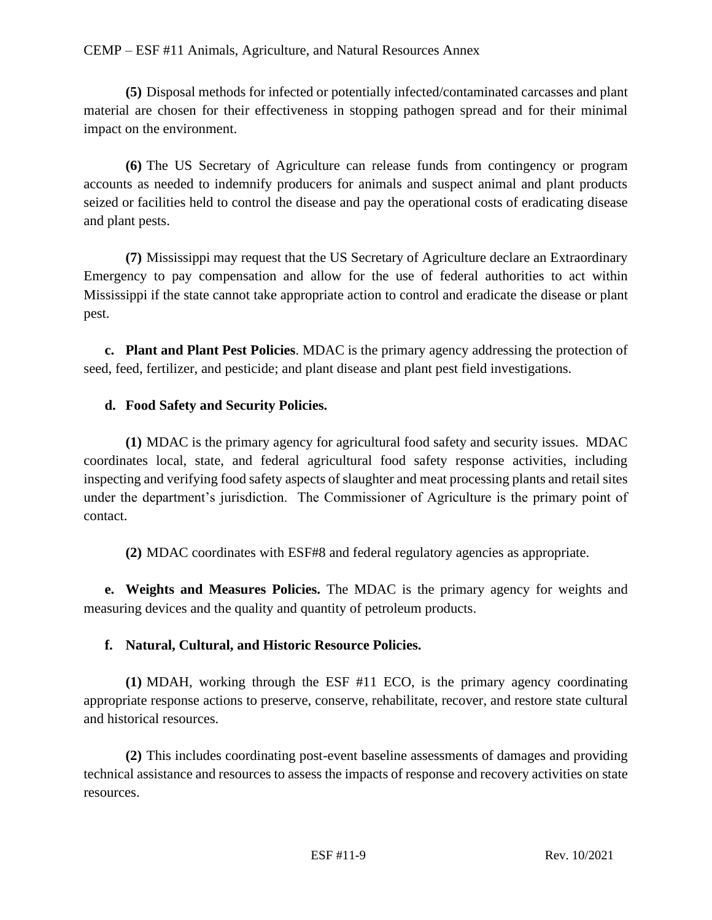**(5)** Disposal methods for infected or potentially infected/contaminated carcasses and plant material are chosen for their effectiveness in stopping pathogen spread and for their minimal impact on the environment.

**(6)** The US Secretary of Agriculture can release funds from contingency or program accounts as needed to indemnify producers for animals and suspect animal and plant products seized or facilities held to control the disease and pay the operational costs of eradicating disease and plant pests.

**(7)** Mississippi may request that the US Secretary of Agriculture declare an Extraordinary Emergency to pay compensation and allow for the use of federal authorities to act within Mississippi if the state cannot take appropriate action to control and eradicate the disease or plant pest.

**c. Plant and Plant Pest Policies**. MDAC is the primary agency addressing the protection of seed, feed, fertilizer, and pesticide; and plant disease and plant pest field investigations.

# **d. Food Safety and Security Policies.**

**(1)** MDAC is the primary agency for agricultural food safety and security issues. MDAC coordinates local, state, and federal agricultural food safety response activities, including inspecting and verifying food safety aspects of slaughter and meat processing plants and retail sites under the department's jurisdiction. The Commissioner of Agriculture is the primary point of contact.

**(2)** MDAC coordinates with ESF#8 and federal regulatory agencies as appropriate.

**e. Weights and Measures Policies.** The MDAC is the primary agency for weights and measuring devices and the quality and quantity of petroleum products.

# **f. Natural, Cultural, and Historic Resource Policies.**

**(1)** MDAH, working through the ESF #11 ECO, is the primary agency coordinating appropriate response actions to preserve, conserve, rehabilitate, recover, and restore state cultural and historical resources.

**(2)** This includes coordinating post-event baseline assessments of damages and providing technical assistance and resources to assess the impacts of response and recovery activities on state resources.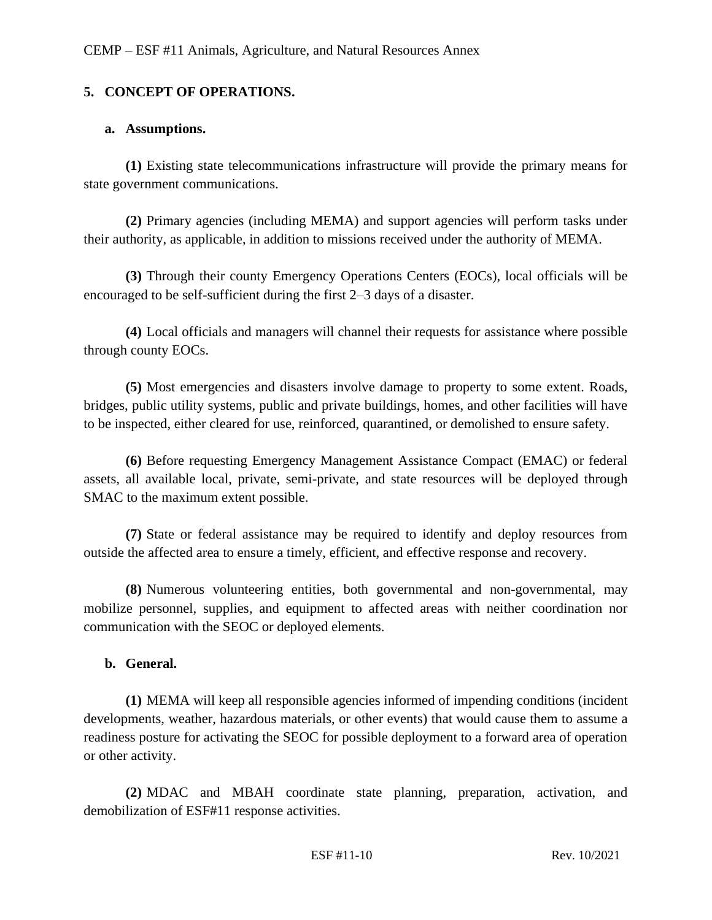## **5. CONCEPT OF OPERATIONS.**

#### **a. Assumptions.**

**(1)** Existing state telecommunications infrastructure will provide the primary means for state government communications.

**(2)** Primary agencies (including MEMA) and support agencies will perform tasks under their authority, as applicable, in addition to missions received under the authority of MEMA.

**(3)** Through their county Emergency Operations Centers (EOCs), local officials will be encouraged to be self-sufficient during the first 2–3 days of a disaster.

**(4)** Local officials and managers will channel their requests for assistance where possible through county EOCs.

**(5)** Most emergencies and disasters involve damage to property to some extent. Roads, bridges, public utility systems, public and private buildings, homes, and other facilities will have to be inspected, either cleared for use, reinforced, quarantined, or demolished to ensure safety.

**(6)** Before requesting Emergency Management Assistance Compact (EMAC) or federal assets, all available local, private, semi-private, and state resources will be deployed through SMAC to the maximum extent possible.

**(7)** State or federal assistance may be required to identify and deploy resources from outside the affected area to ensure a timely, efficient, and effective response and recovery.

**(8)** Numerous volunteering entities, both governmental and non-governmental, may mobilize personnel, supplies, and equipment to affected areas with neither coordination nor communication with the SEOC or deployed elements.

#### **b. General.**

**(1)** MEMA will keep all responsible agencies informed of impending conditions (incident developments, weather, hazardous materials, or other events) that would cause them to assume a readiness posture for activating the SEOC for possible deployment to a forward area of operation or other activity.

**(2)** MDAC and MBAH coordinate state planning, preparation, activation, and demobilization of ESF#11 response activities.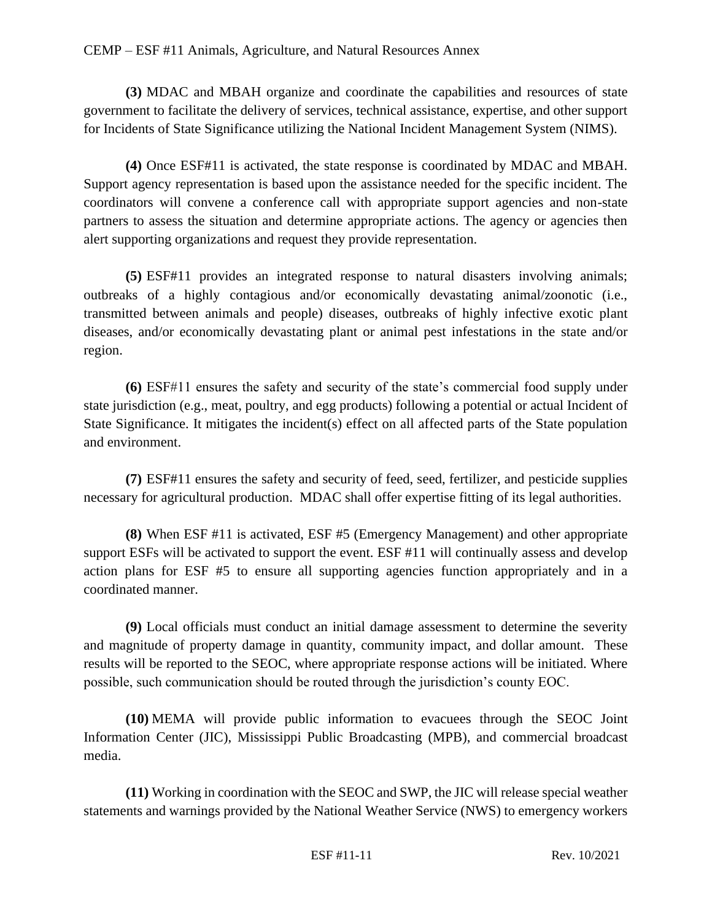**(3)** MDAC and MBAH organize and coordinate the capabilities and resources of state government to facilitate the delivery of services, technical assistance, expertise, and other support for Incidents of State Significance utilizing the National Incident Management System (NIMS).

**(4)** Once ESF#11 is activated, the state response is coordinated by MDAC and MBAH. Support agency representation is based upon the assistance needed for the specific incident. The coordinators will convene a conference call with appropriate support agencies and non-state partners to assess the situation and determine appropriate actions. The agency or agencies then alert supporting organizations and request they provide representation.

**(5)** ESF#11 provides an integrated response to natural disasters involving animals; outbreaks of a highly contagious and/or economically devastating animal/zoonotic (i.e., transmitted between animals and people) diseases, outbreaks of highly infective exotic plant diseases, and/or economically devastating plant or animal pest infestations in the state and/or region.

**(6)** ESF#11 ensures the safety and security of the state's commercial food supply under state jurisdiction (e.g., meat, poultry, and egg products) following a potential or actual Incident of State Significance. It mitigates the incident(s) effect on all affected parts of the State population and environment.

**(7)** ESF#11 ensures the safety and security of feed, seed, fertilizer, and pesticide supplies necessary for agricultural production. MDAC shall offer expertise fitting of its legal authorities.

**(8)** When ESF #11 is activated, ESF #5 (Emergency Management) and other appropriate support ESFs will be activated to support the event. ESF #11 will continually assess and develop action plans for ESF #5 to ensure all supporting agencies function appropriately and in a coordinated manner.

**(9)** Local officials must conduct an initial damage assessment to determine the severity and magnitude of property damage in quantity, community impact, and dollar amount. These results will be reported to the SEOC, where appropriate response actions will be initiated. Where possible, such communication should be routed through the jurisdiction's county EOC.

**(10)** MEMA will provide public information to evacuees through the SEOC Joint Information Center (JIC), Mississippi Public Broadcasting (MPB), and commercial broadcast media.

**(11)** Working in coordination with the SEOC and SWP, the JIC will release special weather statements and warnings provided by the National Weather Service (NWS) to emergency workers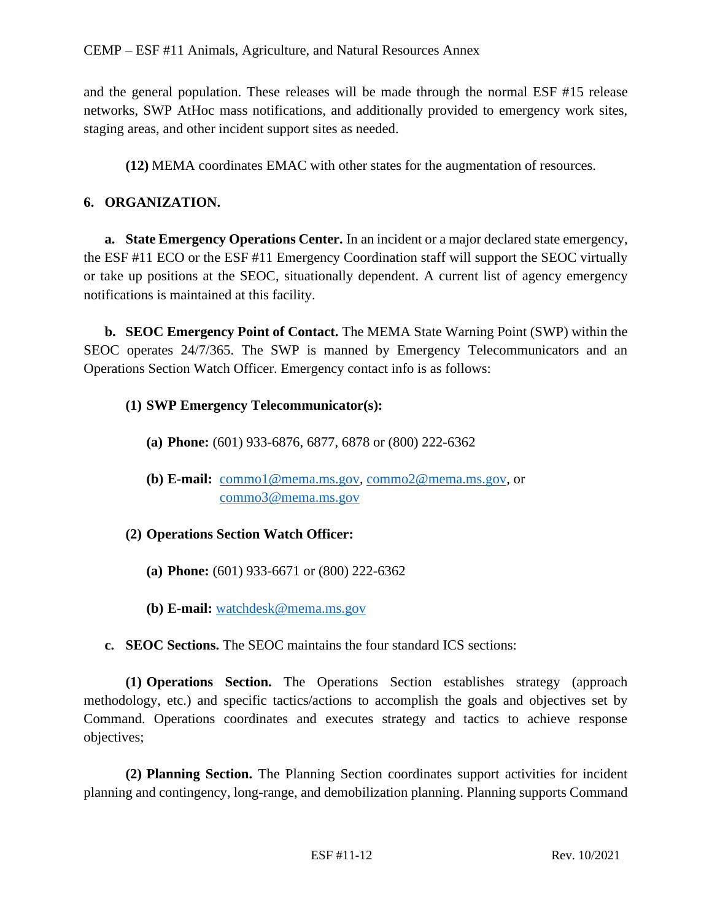and the general population. These releases will be made through the normal ESF #15 release networks, SWP AtHoc mass notifications, and additionally provided to emergency work sites, staging areas, and other incident support sites as needed.

**(12)** MEMA coordinates EMAC with other states for the augmentation of resources.

## **6. ORGANIZATION.**

**a. State Emergency Operations Center.** In an incident or a major declared state emergency, the ESF #11 ECO or the ESF #11 Emergency Coordination staff will support the SEOC virtually or take up positions at the SEOC, situationally dependent. A current list of agency emergency notifications is maintained at this facility.

**b. SEOC Emergency Point of Contact.** The MEMA State Warning Point (SWP) within the SEOC operates 24/7/365. The SWP is manned by Emergency Telecommunicators and an Operations Section Watch Officer. Emergency contact info is as follows:

## **(1) SWP Emergency Telecommunicator(s):**

- **(a) Phone:** (601) 933-6876, 6877, 6878 or (800) 222-6362
- **(b) E-mail:** [commo1@mema.ms.gov,](mailto:commo1@mema.ms.gov) [commo2@mema.ms.gov,](mailto:commo2@mema.ms.gov) or [commo3@mema.ms.gov](mailto:commo3@mema.ms.gov)
- **(2) Operations Section Watch Officer:**
	- **(a) Phone:** (601) 933-6671 or (800) 222-6362
	- **(b) E-mail:** [watchdesk@mema.ms.gov](mailto:watchdesk@mema.ms.gov)

# **c. SEOC Sections.** The SEOC maintains the four standard ICS sections:

**(1) Operations Section.** The Operations Section establishes strategy (approach methodology, etc.) and specific tactics/actions to accomplish the goals and objectives set by Command. Operations coordinates and executes strategy and tactics to achieve response objectives;

**(2) Planning Section.** The Planning Section coordinates support activities for incident planning and contingency, long-range, and demobilization planning. Planning supports Command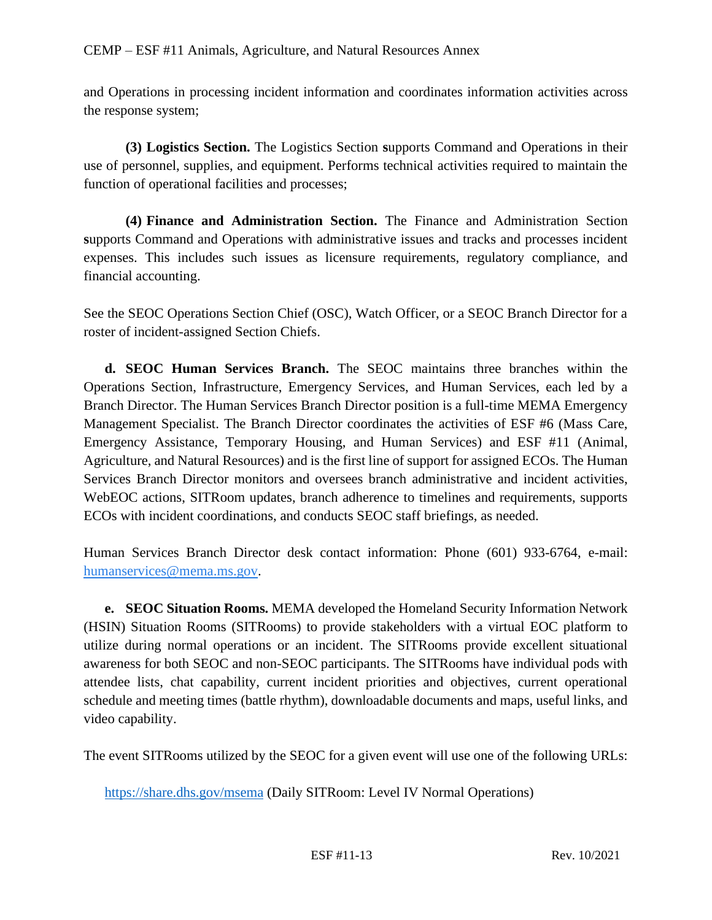and Operations in processing incident information and coordinates information activities across the response system;

**(3) Logistics Section.** The Logistics Section **s**upports Command and Operations in their use of personnel, supplies, and equipment. Performs technical activities required to maintain the function of operational facilities and processes;

**(4) Finance and Administration Section.** The Finance and Administration Section **s**upports Command and Operations with administrative issues and tracks and processes incident expenses. This includes such issues as licensure requirements, regulatory compliance, and financial accounting.

See the SEOC Operations Section Chief (OSC), Watch Officer, or a SEOC Branch Director for a roster of incident-assigned Section Chiefs.

**d. SEOC Human Services Branch.** The SEOC maintains three branches within the Operations Section, Infrastructure, Emergency Services, and Human Services, each led by a Branch Director. The Human Services Branch Director position is a full-time MEMA Emergency Management Specialist. The Branch Director coordinates the activities of ESF #6 (Mass Care, Emergency Assistance, Temporary Housing, and Human Services) and ESF #11 (Animal, Agriculture, and Natural Resources) and is the first line of support for assigned ECOs. The Human Services Branch Director monitors and oversees branch administrative and incident activities, WebEOC actions, SITRoom updates, branch adherence to timelines and requirements, supports ECOs with incident coordinations, and conducts SEOC staff briefings, as needed.

Human Services Branch Director desk contact information: Phone (601) 933-6764, e-mail: [humanservices@mema.ms.gov.](mailto:humanservices@mema.ms.gov)

**e. SEOC Situation Rooms.** MEMA developed the Homeland Security Information Network (HSIN) Situation Rooms (SITRooms) to provide stakeholders with a virtual EOC platform to utilize during normal operations or an incident. The SITRooms provide excellent situational awareness for both SEOC and non-SEOC participants. The SITRooms have individual pods with attendee lists, chat capability, current incident priorities and objectives, current operational schedule and meeting times (battle rhythm), downloadable documents and maps, useful links, and video capability.

The event SITRooms utilized by the SEOC for a given event will use one of the following URLs:

<https://share.dhs.gov/msema> (Daily SITRoom: Level IV Normal Operations)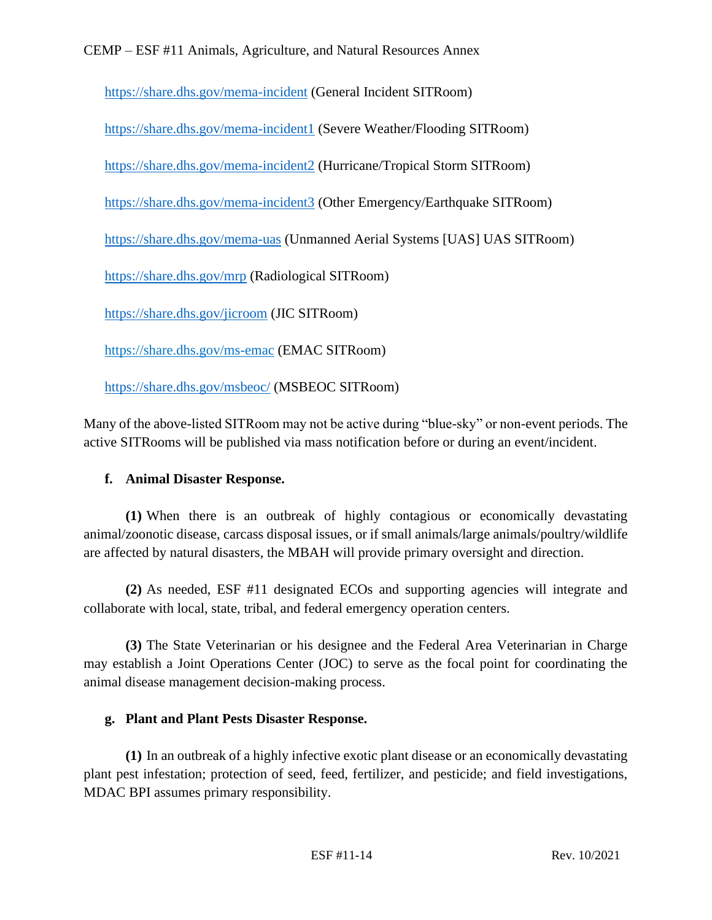<https://share.dhs.gov/mema-incident> (General Incident SITRoom)

<https://share.dhs.gov/mema-incident1> (Severe Weather/Flooding SITRoom)

<https://share.dhs.gov/mema-incident2> (Hurricane/Tropical Storm SITRoom)

<https://share.dhs.gov/mema-incident3> (Other Emergency/Earthquake SITRoom)

<https://share.dhs.gov/mema-uas> (Unmanned Aerial Systems [UAS] UAS SITRoom)

<https://share.dhs.gov/mrp> (Radiological SITRoom)

<https://share.dhs.gov/jicroom> (JIC SITRoom)

<https://share.dhs.gov/ms-emac> (EMAC SITRoom)

<https://share.dhs.gov/msbeoc/> (MSBEOC SITRoom)

Many of the above-listed SITRoom may not be active during "blue-sky" or non-event periods. The active SITRooms will be published via mass notification before or during an event/incident.

# **f. Animal Disaster Response.**

**(1)** When there is an outbreak of highly contagious or economically devastating animal/zoonotic disease, carcass disposal issues, or if small animals/large animals/poultry/wildlife are affected by natural disasters, the MBAH will provide primary oversight and direction.

**(2)** As needed, ESF #11 designated ECOs and supporting agencies will integrate and collaborate with local, state, tribal, and federal emergency operation centers.

**(3)** The State Veterinarian or his designee and the Federal Area Veterinarian in Charge may establish a Joint Operations Center (JOC) to serve as the focal point for coordinating the animal disease management decision-making process.

# **g. Plant and Plant Pests Disaster Response.**

**(1)** In an outbreak of a highly infective exotic plant disease or an economically devastating plant pest infestation; protection of seed, feed, fertilizer, and pesticide; and field investigations, MDAC BPI assumes primary responsibility.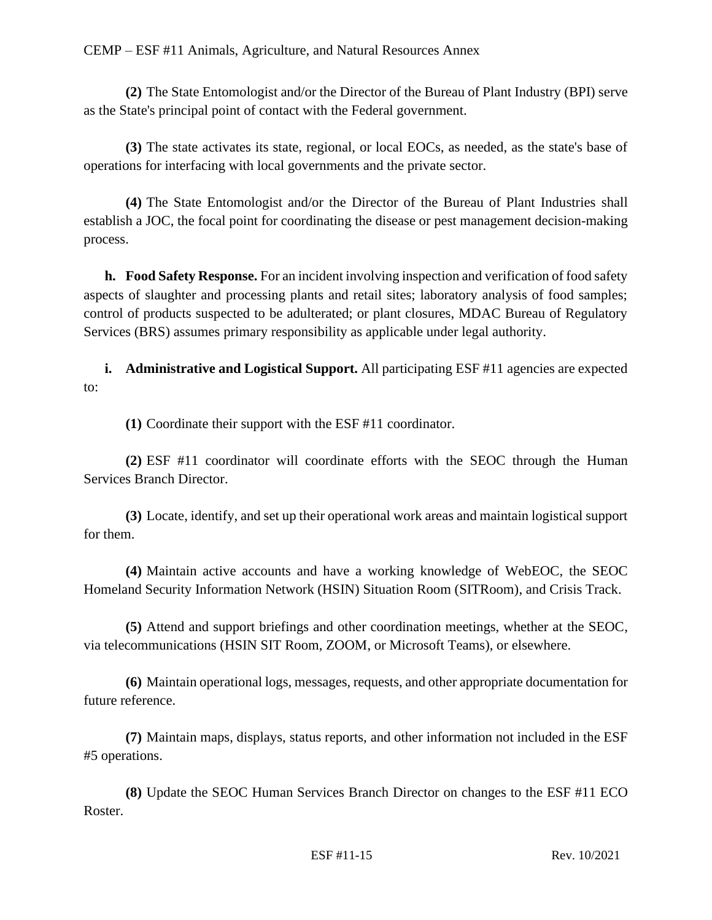**(2)** The State Entomologist and/or the Director of the Bureau of Plant Industry (BPI) serve as the State's principal point of contact with the Federal government.

**(3)** The state activates its state, regional, or local EOCs, as needed, as the state's base of operations for interfacing with local governments and the private sector.

**(4)** The State Entomologist and/or the Director of the Bureau of Plant Industries shall establish a JOC, the focal point for coordinating the disease or pest management decision-making process.

**h. Food Safety Response.** For an incident involving inspection and verification of food safety aspects of slaughter and processing plants and retail sites; laboratory analysis of food samples; control of products suspected to be adulterated; or plant closures, MDAC Bureau of Regulatory Services (BRS) assumes primary responsibility as applicable under legal authority.

**i. Administrative and Logistical Support.** All participating ESF #11 agencies are expected to:

**(1)** Coordinate their support with the ESF #11 coordinator.

**(2)** ESF #11 coordinator will coordinate efforts with the SEOC through the Human Services Branch Director.

**(3)** Locate, identify, and set up their operational work areas and maintain logistical support for them.

**(4)** Maintain active accounts and have a working knowledge of WebEOC, the SEOC Homeland Security Information Network (HSIN) Situation Room (SITRoom), and Crisis Track.

**(5)** Attend and support briefings and other coordination meetings, whether at the SEOC, via telecommunications (HSIN SIT Room, ZOOM, or Microsoft Teams), or elsewhere.

**(6)** Maintain operational logs, messages, requests, and other appropriate documentation for future reference.

**(7)** Maintain maps, displays, status reports, and other information not included in the ESF #5 operations.

**(8)** Update the SEOC Human Services Branch Director on changes to the ESF #11 ECO Roster.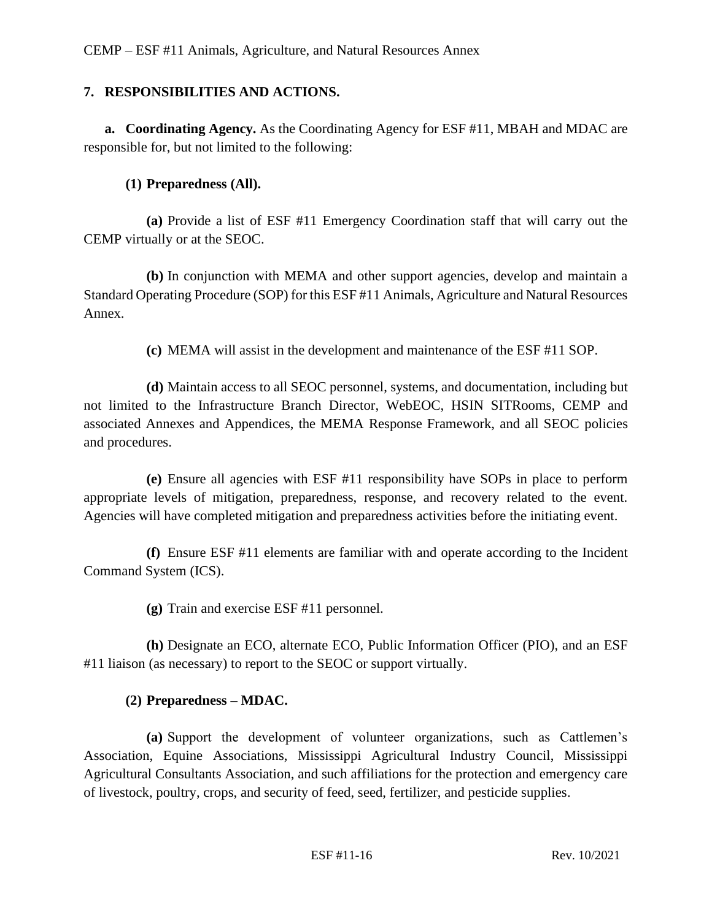## **7. RESPONSIBILITIES AND ACTIONS.**

**a. Coordinating Agency.** As the Coordinating Agency for ESF #11, MBAH and MDAC are responsible for, but not limited to the following:

## **(1) Preparedness (All).**

**(a)** Provide a list of ESF #11 Emergency Coordination staff that will carry out the CEMP virtually or at the SEOC.

**(b)** In conjunction with MEMA and other support agencies, develop and maintain a Standard Operating Procedure (SOP) for this ESF #11 Animals, Agriculture and Natural Resources Annex.

**(c)** MEMA will assist in the development and maintenance of the ESF #11 SOP.

**(d)** Maintain access to all SEOC personnel, systems, and documentation, including but not limited to the Infrastructure Branch Director, WebEOC, HSIN SITRooms, CEMP and associated Annexes and Appendices, the MEMA Response Framework, and all SEOC policies and procedures.

**(e)** Ensure all agencies with ESF #11 responsibility have SOPs in place to perform appropriate levels of mitigation, preparedness, response, and recovery related to the event. Agencies will have completed mitigation and preparedness activities before the initiating event.

**(f)** Ensure ESF #11 elements are familiar with and operate according to the Incident Command System (ICS).

**(g)** Train and exercise ESF #11 personnel.

**(h)** Designate an ECO, alternate ECO, Public Information Officer (PIO), and an ESF #11 liaison (as necessary) to report to the SEOC or support virtually.

#### **(2) Preparedness – MDAC.**

**(a)** Support the development of volunteer organizations, such as Cattlemen's Association, Equine Associations, Mississippi Agricultural Industry Council, Mississippi Agricultural Consultants Association, and such affiliations for the protection and emergency care of livestock, poultry, crops, and security of feed, seed, fertilizer, and pesticide supplies.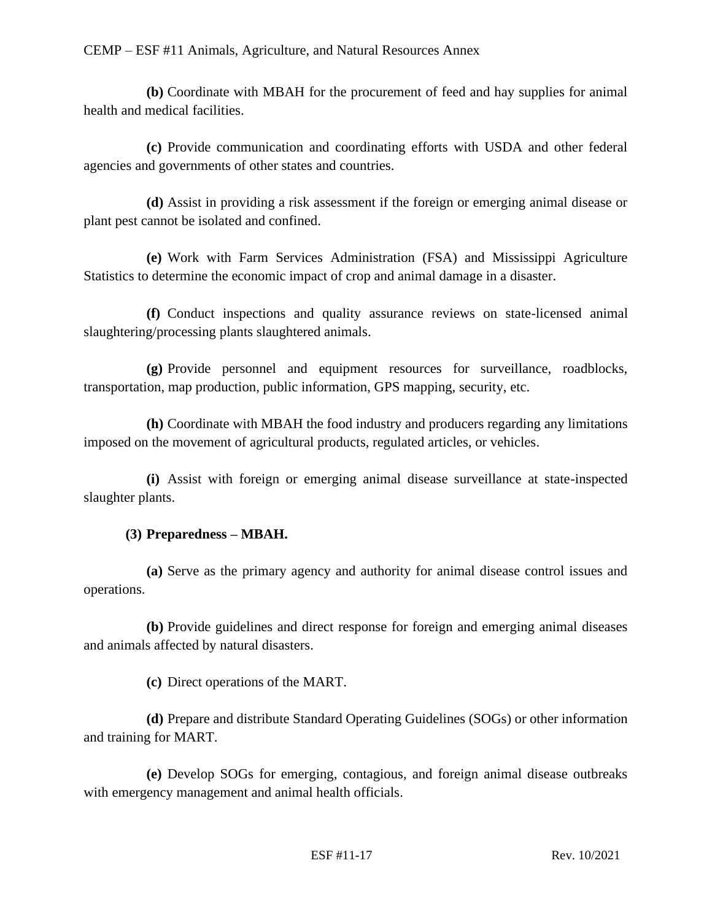**(b)** Coordinate with MBAH for the procurement of feed and hay supplies for animal health and medical facilities.

**(c)** Provide communication and coordinating efforts with USDA and other federal agencies and governments of other states and countries.

**(d)** Assist in providing a risk assessment if the foreign or emerging animal disease or plant pest cannot be isolated and confined.

**(e)** Work with Farm Services Administration (FSA) and Mississippi Agriculture Statistics to determine the economic impact of crop and animal damage in a disaster.

**(f)** Conduct inspections and quality assurance reviews on state-licensed animal slaughtering/processing plants slaughtered animals.

**(g)** Provide personnel and equipment resources for surveillance, roadblocks, transportation, map production, public information, GPS mapping, security, etc.

**(h)** Coordinate with MBAH the food industry and producers regarding any limitations imposed on the movement of agricultural products, regulated articles, or vehicles.

**(i)** Assist with foreign or emerging animal disease surveillance at state-inspected slaughter plants.

#### **(3) Preparedness – MBAH.**

**(a)** Serve as the primary agency and authority for animal disease control issues and operations.

**(b)** Provide guidelines and direct response for foreign and emerging animal diseases and animals affected by natural disasters.

**(c)** Direct operations of the MART.

**(d)** Prepare and distribute Standard Operating Guidelines (SOGs) or other information and training for MART.

**(e)** Develop SOGs for emerging, contagious, and foreign animal disease outbreaks with emergency management and animal health officials.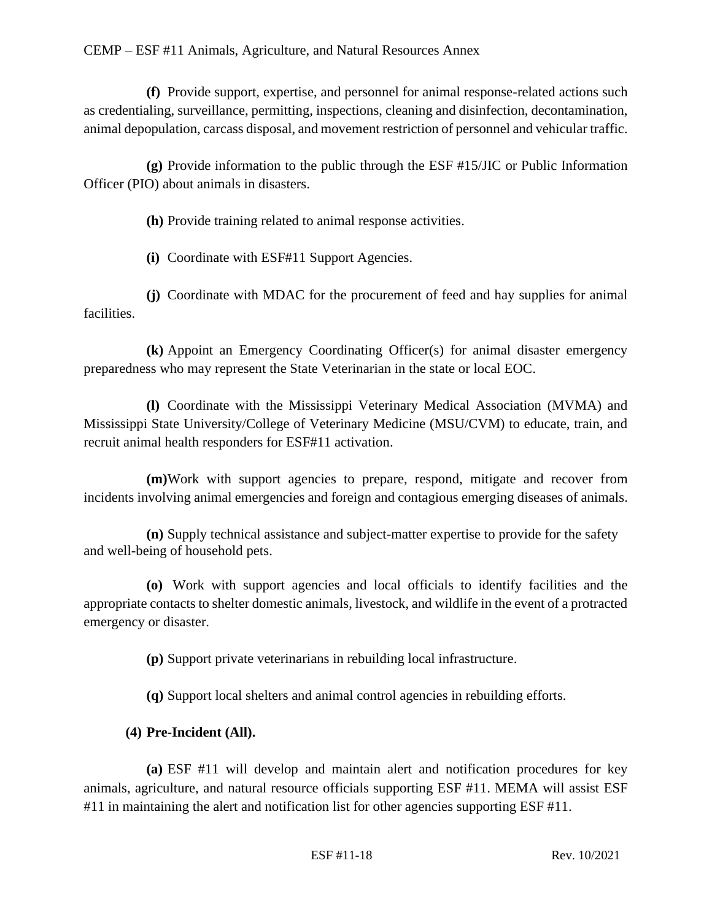**(f)** Provide support, expertise, and personnel for animal response-related actions such as credentialing, surveillance, permitting, inspections, cleaning and disinfection, decontamination, animal depopulation, carcass disposal, and movement restriction of personnel and vehicular traffic.

**(g)** Provide information to the public through the ESF #15/JIC or Public Information Officer (PIO) about animals in disasters.

**(h)** Provide training related to animal response activities.

**(i)** Coordinate with ESF#11 Support Agencies.

**(j)** Coordinate with MDAC for the procurement of feed and hay supplies for animal facilities.

**(k)** Appoint an Emergency Coordinating Officer(s) for animal disaster emergency preparedness who may represent the State Veterinarian in the state or local EOC.

**(l)** Coordinate with the Mississippi Veterinary Medical Association (MVMA) and Mississippi State University/College of Veterinary Medicine (MSU/CVM) to educate, train, and recruit animal health responders for ESF#11 activation.

**(m)**Work with support agencies to prepare, respond, mitigate and recover from incidents involving animal emergencies and foreign and contagious emerging diseases of animals.

**(n)** Supply technical assistance and subject-matter expertise to provide for the safety and well-being of household pets.

**(o)** Work with support agencies and local officials to identify facilities and the appropriate contacts to shelter domestic animals, livestock, and wildlife in the event of a protracted emergency or disaster.

**(p)** Support private veterinarians in rebuilding local infrastructure.

**(q)** Support local shelters and animal control agencies in rebuilding efforts.

#### **(4) Pre-Incident (All).**

**(a)** ESF #11 will develop and maintain alert and notification procedures for key animals, agriculture, and natural resource officials supporting ESF #11. MEMA will assist ESF #11 in maintaining the alert and notification list for other agencies supporting ESF #11.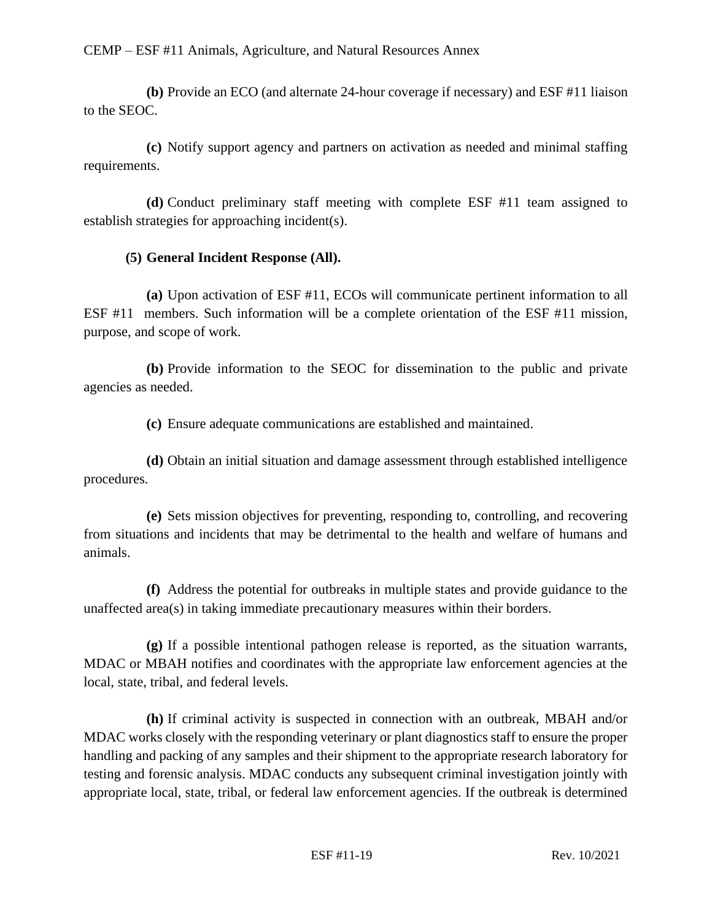**(b)** Provide an ECO (and alternate 24-hour coverage if necessary) and ESF #11 liaison to the SEOC.

**(c)** Notify support agency and partners on activation as needed and minimal staffing requirements.

**(d)** Conduct preliminary staff meeting with complete ESF #11 team assigned to establish strategies for approaching incident(s).

#### **(5) General Incident Response (All).**

**(a)** Upon activation of ESF #11, ECOs will communicate pertinent information to all ESF #11 members. Such information will be a complete orientation of the ESF #11 mission, purpose, and scope of work.

**(b)** Provide information to the SEOC for dissemination to the public and private agencies as needed.

**(c)** Ensure adequate communications are established and maintained.

**(d)** Obtain an initial situation and damage assessment through established intelligence procedures.

**(e)** Sets mission objectives for preventing, responding to, controlling, and recovering from situations and incidents that may be detrimental to the health and welfare of humans and animals.

**(f)** Address the potential for outbreaks in multiple states and provide guidance to the unaffected area(s) in taking immediate precautionary measures within their borders.

**(g)** If a possible intentional pathogen release is reported, as the situation warrants, MDAC or MBAH notifies and coordinates with the appropriate law enforcement agencies at the local, state, tribal, and federal levels.

**(h)** If criminal activity is suspected in connection with an outbreak, MBAH and/or MDAC works closely with the responding veterinary or plant diagnostics staff to ensure the proper handling and packing of any samples and their shipment to the appropriate research laboratory for testing and forensic analysis. MDAC conducts any subsequent criminal investigation jointly with appropriate local, state, tribal, or federal law enforcement agencies. If the outbreak is determined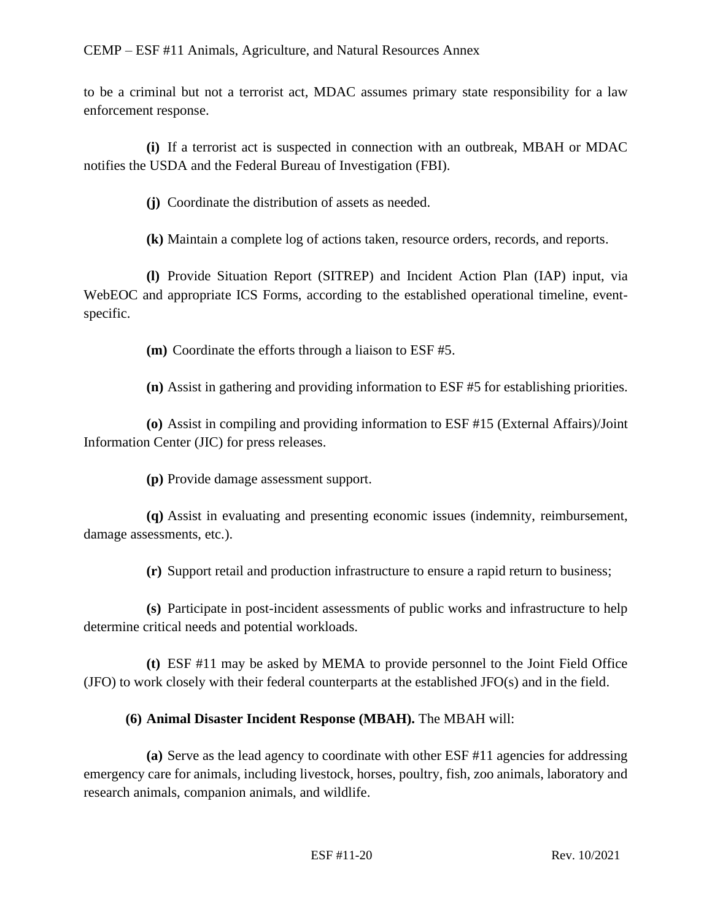to be a criminal but not a terrorist act, MDAC assumes primary state responsibility for a law enforcement response.

**(i)** If a terrorist act is suspected in connection with an outbreak, MBAH or MDAC notifies the USDA and the Federal Bureau of Investigation (FBI).

**(j)** Coordinate the distribution of assets as needed.

**(k)** Maintain a complete log of actions taken, resource orders, records, and reports.

**(l)** Provide Situation Report (SITREP) and Incident Action Plan (IAP) input, via WebEOC and appropriate ICS Forms, according to the established operational timeline, eventspecific.

**(m)** Coordinate the efforts through a liaison to ESF #5.

**(n)** Assist in gathering and providing information to ESF #5 for establishing priorities.

**(o)** Assist in compiling and providing information to ESF #15 (External Affairs)/Joint Information Center (JIC) for press releases.

**(p)** Provide damage assessment support.

**(q)** Assist in evaluating and presenting economic issues (indemnity, reimbursement, damage assessments, etc.).

**(r)** Support retail and production infrastructure to ensure a rapid return to business;

**(s)** Participate in post-incident assessments of public works and infrastructure to help determine critical needs and potential workloads.

**(t)** ESF #11 may be asked by MEMA to provide personnel to the Joint Field Office (JFO) to work closely with their federal counterparts at the established JFO(s) and in the field.

# **(6) Animal Disaster Incident Response (MBAH).** The MBAH will:

**(a)** Serve as the lead agency to coordinate with other ESF #11 agencies for addressing emergency care for animals, including livestock, horses, poultry, fish, zoo animals, laboratory and research animals, companion animals, and wildlife.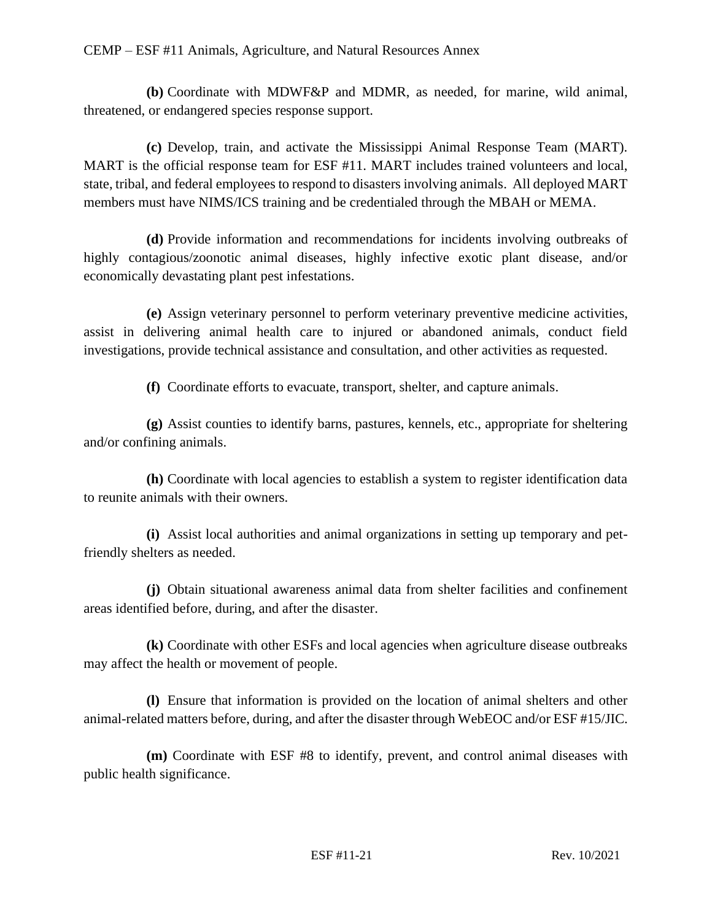**(b)** Coordinate with MDWF&P and MDMR, as needed, for marine, wild animal, threatened, or endangered species response support.

**(c)** Develop, train, and activate the Mississippi Animal Response Team (MART). MART is the official response team for ESF #11. MART includes trained volunteers and local, state, tribal, and federal employees to respond to disasters involving animals. All deployed MART members must have NIMS/ICS training and be credentialed through the MBAH or MEMA.

**(d)** Provide information and recommendations for incidents involving outbreaks of highly contagious/zoonotic animal diseases, highly infective exotic plant disease, and/or economically devastating plant pest infestations.

**(e)** Assign veterinary personnel to perform veterinary preventive medicine activities, assist in delivering animal health care to injured or abandoned animals, conduct field investigations, provide technical assistance and consultation, and other activities as requested.

**(f)** Coordinate efforts to evacuate, transport, shelter, and capture animals.

**(g)** Assist counties to identify barns, pastures, kennels, etc., appropriate for sheltering and/or confining animals.

**(h)** Coordinate with local agencies to establish a system to register identification data to reunite animals with their owners.

**(i)** Assist local authorities and animal organizations in setting up temporary and petfriendly shelters as needed.

**(j)** Obtain situational awareness animal data from shelter facilities and confinement areas identified before, during, and after the disaster.

**(k)** Coordinate with other ESFs and local agencies when agriculture disease outbreaks may affect the health or movement of people.

**(l)** Ensure that information is provided on the location of animal shelters and other animal-related matters before, during, and after the disaster through WebEOC and/or ESF #15/JIC.

**(m)** Coordinate with ESF #8 to identify, prevent, and control animal diseases with public health significance.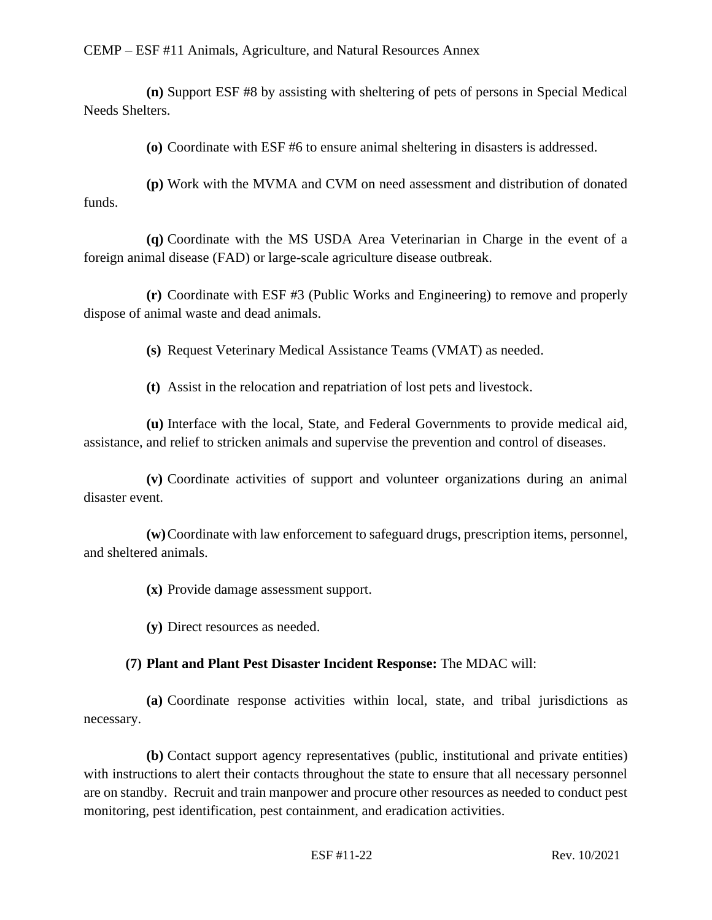**(n)** Support ESF #8 by assisting with sheltering of pets of persons in Special Medical Needs Shelters.

**(o)** Coordinate with ESF #6 to ensure animal sheltering in disasters is addressed.

**(p)** Work with the MVMA and CVM on need assessment and distribution of donated funds.

**(q)** Coordinate with the MS USDA Area Veterinarian in Charge in the event of a foreign animal disease (FAD) or large-scale agriculture disease outbreak.

**(r)** Coordinate with ESF #3 (Public Works and Engineering) to remove and properly dispose of animal waste and dead animals.

**(s)** Request Veterinary Medical Assistance Teams (VMAT) as needed.

**(t)** Assist in the relocation and repatriation of lost pets and livestock.

**(u)** Interface with the local, State, and Federal Governments to provide medical aid, assistance, and relief to stricken animals and supervise the prevention and control of diseases.

**(v)** Coordinate activities of support and volunteer organizations during an animal disaster event.

**(w)**Coordinate with law enforcement to safeguard drugs, prescription items, personnel, and sheltered animals.

**(x)** Provide damage assessment support.

**(y)** Direct resources as needed.

#### **(7) Plant and Plant Pest Disaster Incident Response:** The MDAC will:

**(a)** Coordinate response activities within local, state, and tribal jurisdictions as necessary.

**(b)** Contact support agency representatives (public, institutional and private entities) with instructions to alert their contacts throughout the state to ensure that all necessary personnel are on standby. Recruit and train manpower and procure other resources as needed to conduct pest monitoring, pest identification, pest containment, and eradication activities.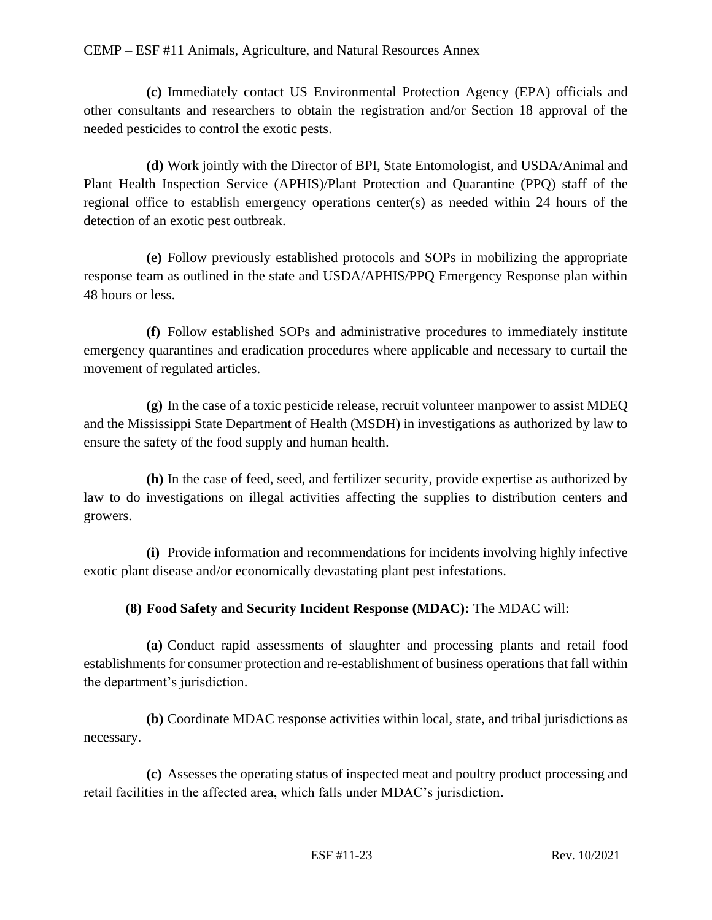**(c)** Immediately contact US Environmental Protection Agency (EPA) officials and other consultants and researchers to obtain the registration and/or Section 18 approval of the needed pesticides to control the exotic pests.

**(d)** Work jointly with the Director of BPI, State Entomologist, and USDA/Animal and Plant Health Inspection Service (APHIS)/Plant Protection and Quarantine (PPQ) staff of the regional office to establish emergency operations center(s) as needed within 24 hours of the detection of an exotic pest outbreak.

**(e)** Follow previously established protocols and SOPs in mobilizing the appropriate response team as outlined in the state and USDA/APHIS/PPQ Emergency Response plan within 48 hours or less.

**(f)** Follow established SOPs and administrative procedures to immediately institute emergency quarantines and eradication procedures where applicable and necessary to curtail the movement of regulated articles.

**(g)** In the case of a toxic pesticide release, recruit volunteer manpower to assist MDEQ and the Mississippi State Department of Health (MSDH) in investigations as authorized by law to ensure the safety of the food supply and human health.

**(h)** In the case of feed, seed, and fertilizer security, provide expertise as authorized by law to do investigations on illegal activities affecting the supplies to distribution centers and growers.

**(i)** Provide information and recommendations for incidents involving highly infective exotic plant disease and/or economically devastating plant pest infestations.

# **(8) Food Safety and Security Incident Response (MDAC):** The MDAC will:

**(a)** Conduct rapid assessments of slaughter and processing plants and retail food establishments for consumer protection and re-establishment of business operations that fall within the department's jurisdiction.

**(b)** Coordinate MDAC response activities within local, state, and tribal jurisdictions as necessary.

**(c)** Assesses the operating status of inspected meat and poultry product processing and retail facilities in the affected area, which falls under MDAC's jurisdiction.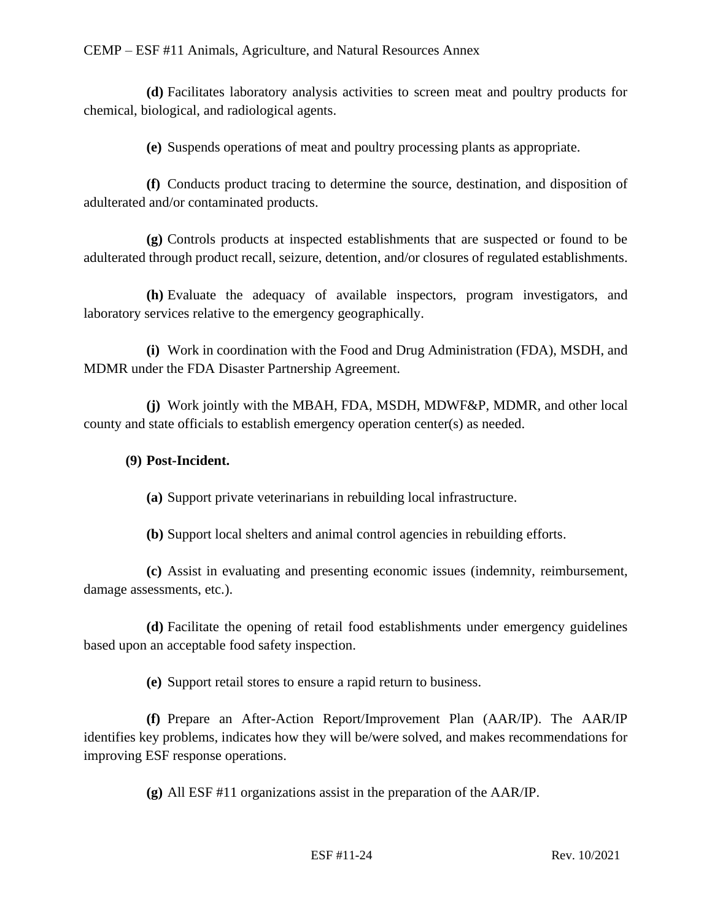**(d)** Facilitates laboratory analysis activities to screen meat and poultry products for chemical, biological, and radiological agents.

**(e)** Suspends operations of meat and poultry processing plants as appropriate.

**(f)** Conducts product tracing to determine the source, destination, and disposition of adulterated and/or contaminated products.

**(g)** Controls products at inspected establishments that are suspected or found to be adulterated through product recall, seizure, detention, and/or closures of regulated establishments.

**(h)** Evaluate the adequacy of available inspectors, program investigators, and laboratory services relative to the emergency geographically.

**(i)** Work in coordination with the Food and Drug Administration (FDA), MSDH, and MDMR under the FDA Disaster Partnership Agreement.

**(j)** Work jointly with the MBAH, FDA, MSDH, MDWF&P, MDMR, and other local county and state officials to establish emergency operation center(s) as needed.

#### **(9) Post-Incident.**

**(a)** Support private veterinarians in rebuilding local infrastructure.

**(b)** Support local shelters and animal control agencies in rebuilding efforts.

**(c)** Assist in evaluating and presenting economic issues (indemnity, reimbursement, damage assessments, etc.).

**(d)** Facilitate the opening of retail food establishments under emergency guidelines based upon an acceptable food safety inspection.

**(e)** Support retail stores to ensure a rapid return to business.

**(f)** Prepare an After-Action Report/Improvement Plan (AAR/IP). The AAR/IP identifies key problems, indicates how they will be/were solved, and makes recommendations for improving ESF response operations.

**(g)** All ESF #11 organizations assist in the preparation of the AAR/IP.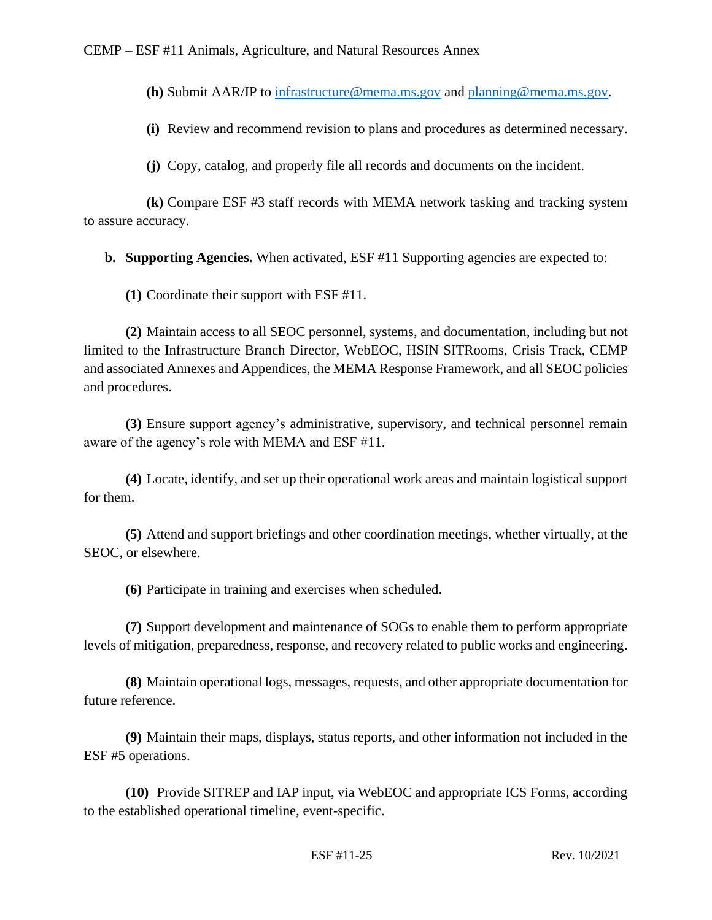**(h)** Submit AAR/IP to [infrastructure@mema.ms.gov](mailto:infrastructure@mema.ms.gov) and [planning@mema.ms.gov.](mailto:planning@mema.ms.gov)

**(i)** Review and recommend revision to plans and procedures as determined necessary.

**(j)** Copy, catalog, and properly file all records and documents on the incident.

**(k)** Compare ESF #3 staff records with MEMA network tasking and tracking system to assure accuracy.

**b. Supporting Agencies.** When activated, ESF #11 Supporting agencies are expected to:

**(1)** Coordinate their support with ESF #11.

**(2)** Maintain access to all SEOC personnel, systems, and documentation, including but not limited to the Infrastructure Branch Director, WebEOC, HSIN SITRooms, Crisis Track, CEMP and associated Annexes and Appendices, the MEMA Response Framework, and all SEOC policies and procedures.

**(3)** Ensure support agency's administrative, supervisory, and technical personnel remain aware of the agency's role with MEMA and ESF #11.

**(4)** Locate, identify, and set up their operational work areas and maintain logistical support for them.

**(5)** Attend and support briefings and other coordination meetings, whether virtually, at the SEOC, or elsewhere.

**(6)** Participate in training and exercises when scheduled.

**(7)** Support development and maintenance of SOGs to enable them to perform appropriate levels of mitigation, preparedness, response, and recovery related to public works and engineering.

**(8)** Maintain operational logs, messages, requests, and other appropriate documentation for future reference.

**(9)** Maintain their maps, displays, status reports, and other information not included in the ESF #5 operations.

**(10)** Provide SITREP and IAP input, via WebEOC and appropriate ICS Forms, according to the established operational timeline, event-specific.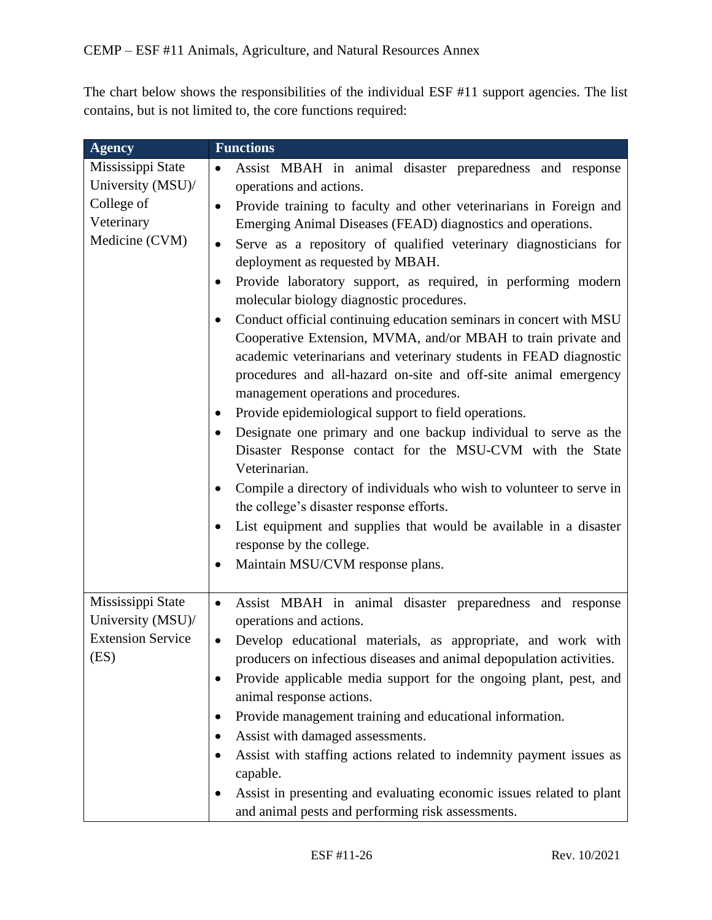The chart below shows the responsibilities of the individual ESF #11 support agencies. The list contains, but is not limited to, the core functions required:

| <b>Agency</b>                                                                        | <b>Functions</b>                                                                                                                                                                                                                                                                                                                                                                                                                                                                                                                                                                                                                                                                                                                                                                                                                                                                                                                                                                                                                                                                                                                                                                                                                                                                                        |
|--------------------------------------------------------------------------------------|---------------------------------------------------------------------------------------------------------------------------------------------------------------------------------------------------------------------------------------------------------------------------------------------------------------------------------------------------------------------------------------------------------------------------------------------------------------------------------------------------------------------------------------------------------------------------------------------------------------------------------------------------------------------------------------------------------------------------------------------------------------------------------------------------------------------------------------------------------------------------------------------------------------------------------------------------------------------------------------------------------------------------------------------------------------------------------------------------------------------------------------------------------------------------------------------------------------------------------------------------------------------------------------------------------|
| Mississippi State<br>University (MSU)/<br>College of<br>Veterinary<br>Medicine (CVM) | Assist MBAH in animal disaster preparedness and response<br>$\bullet$<br>operations and actions.<br>Provide training to faculty and other veterinarians in Foreign and<br>$\bullet$<br>Emerging Animal Diseases (FEAD) diagnostics and operations.<br>Serve as a repository of qualified veterinary diagnosticians for<br>$\bullet$<br>deployment as requested by MBAH.<br>Provide laboratory support, as required, in performing modern<br>$\bullet$<br>molecular biology diagnostic procedures.<br>Conduct official continuing education seminars in concert with MSU<br>$\bullet$<br>Cooperative Extension, MVMA, and/or MBAH to train private and<br>academic veterinarians and veterinary students in FEAD diagnostic<br>procedures and all-hazard on-site and off-site animal emergency<br>management operations and procedures.<br>Provide epidemiological support to field operations.<br>٠<br>Designate one primary and one backup individual to serve as the<br>$\bullet$<br>Disaster Response contact for the MSU-CVM with the State<br>Veterinarian.<br>Compile a directory of individuals who wish to volunteer to serve in<br>٠<br>the college's disaster response efforts.<br>List equipment and supplies that would be available in a disaster<br>$\bullet$<br>response by the college. |
| Mississippi State<br>University (MSU)/<br><b>Extension Service</b><br>(ES)           | Maintain MSU/CVM response plans.<br>Assist MBAH in animal disaster preparedness and response<br>$\bullet$<br>operations and actions.<br>Develop educational materials, as appropriate, and work with<br>$\bullet$<br>producers on infectious diseases and animal depopulation activities.<br>Provide applicable media support for the ongoing plant, pest, and<br>$\bullet$<br>animal response actions.<br>Provide management training and educational information.<br>$\bullet$<br>Assist with damaged assessments.<br>٠<br>Assist with staffing actions related to indemnity payment issues as                                                                                                                                                                                                                                                                                                                                                                                                                                                                                                                                                                                                                                                                                                        |
|                                                                                      | capable.<br>Assist in presenting and evaluating economic issues related to plant<br>and animal pests and performing risk assessments.                                                                                                                                                                                                                                                                                                                                                                                                                                                                                                                                                                                                                                                                                                                                                                                                                                                                                                                                                                                                                                                                                                                                                                   |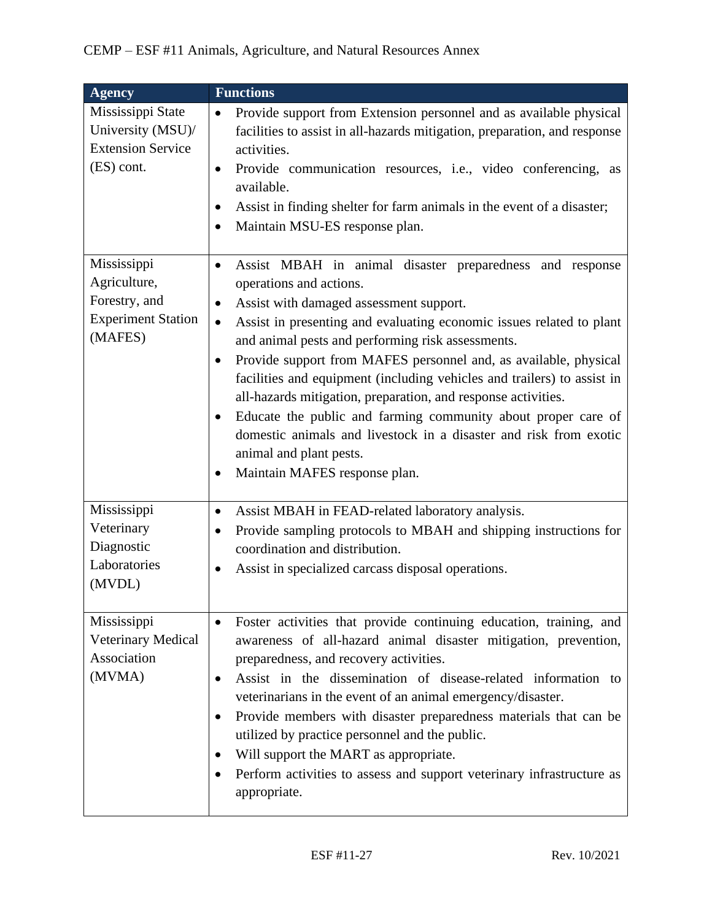| <b>Agency</b>                                                                        | <b>Functions</b>                                                                                                                                                                                                                                                                                                                                                                                                                                                                                                                                                                                                                                                                                                                                    |
|--------------------------------------------------------------------------------------|-----------------------------------------------------------------------------------------------------------------------------------------------------------------------------------------------------------------------------------------------------------------------------------------------------------------------------------------------------------------------------------------------------------------------------------------------------------------------------------------------------------------------------------------------------------------------------------------------------------------------------------------------------------------------------------------------------------------------------------------------------|
| Mississippi State<br>University (MSU)/<br><b>Extension Service</b><br>(ES) cont.     | Provide support from Extension personnel and as available physical<br>$\bullet$<br>facilities to assist in all-hazards mitigation, preparation, and response<br>activities.<br>Provide communication resources, i.e., video conferencing, as<br>$\bullet$<br>available.<br>Assist in finding shelter for farm animals in the event of a disaster;<br>$\bullet$<br>Maintain MSU-ES response plan.<br>$\bullet$                                                                                                                                                                                                                                                                                                                                       |
| Mississippi<br>Agriculture,<br>Forestry, and<br><b>Experiment Station</b><br>(MAFES) | Assist MBAH in animal disaster preparedness and response<br>$\bullet$<br>operations and actions.<br>Assist with damaged assessment support.<br>٠<br>Assist in presenting and evaluating economic issues related to plant<br>$\bullet$<br>and animal pests and performing risk assessments.<br>Provide support from MAFES personnel and, as available, physical<br>$\bullet$<br>facilities and equipment (including vehicles and trailers) to assist in<br>all-hazards mitigation, preparation, and response activities.<br>Educate the public and farming community about proper care of<br>$\bullet$<br>domestic animals and livestock in a disaster and risk from exotic<br>animal and plant pests.<br>Maintain MAFES response plan.<br>$\bullet$ |
| Mississippi<br>Veterinary<br>Diagnostic<br>Laboratories<br>(MVDL)                    | Assist MBAH in FEAD-related laboratory analysis.<br>$\bullet$<br>Provide sampling protocols to MBAH and shipping instructions for<br>$\bullet$<br>coordination and distribution.<br>Assist in specialized carcass disposal operations.<br>٠                                                                                                                                                                                                                                                                                                                                                                                                                                                                                                         |
| Mississippi<br>Veterinary Medical<br>Association<br>(MVMA)                           | Foster activities that provide continuing education, training, and<br>$\bullet$<br>awareness of all-hazard animal disaster mitigation, prevention,<br>preparedness, and recovery activities.<br>Assist in the dissemination of disease-related information to<br>$\bullet$<br>veterinarians in the event of an animal emergency/disaster.<br>Provide members with disaster preparedness materials that can be<br>٠<br>utilized by practice personnel and the public.<br>Will support the MART as appropriate.<br>Perform activities to assess and support veterinary infrastructure as<br>appropriate.                                                                                                                                              |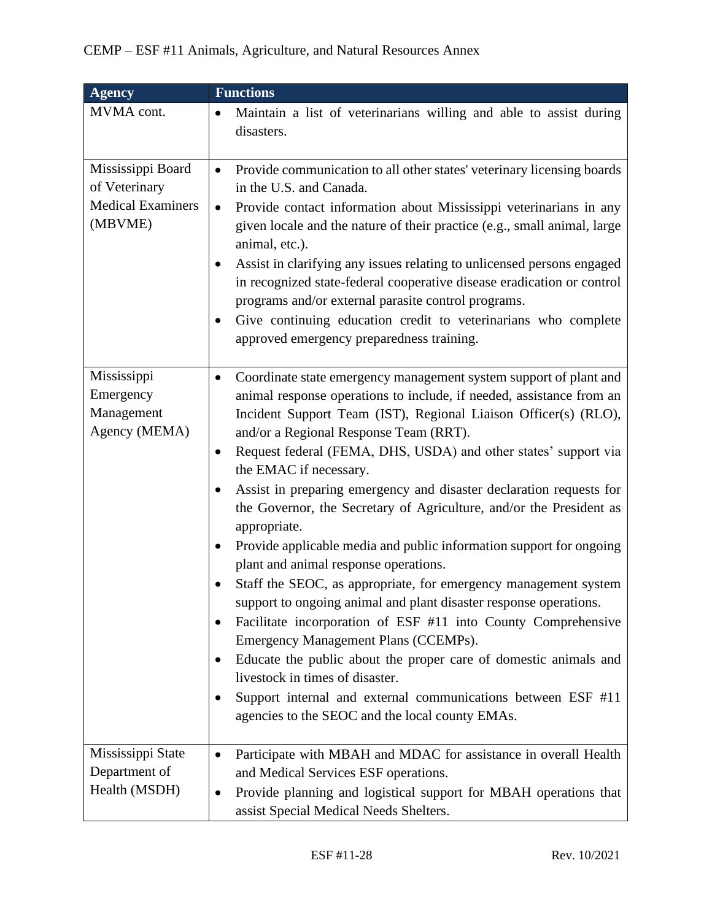| <b>Agency</b>                                                             | <b>Functions</b>                                                                                                                                                                                                                                                                                                                                                                                                                                                                                                                                                                                                                                                                                                                                                                                                                                                                                                                                                                                                                                                                                                                                           |
|---------------------------------------------------------------------------|------------------------------------------------------------------------------------------------------------------------------------------------------------------------------------------------------------------------------------------------------------------------------------------------------------------------------------------------------------------------------------------------------------------------------------------------------------------------------------------------------------------------------------------------------------------------------------------------------------------------------------------------------------------------------------------------------------------------------------------------------------------------------------------------------------------------------------------------------------------------------------------------------------------------------------------------------------------------------------------------------------------------------------------------------------------------------------------------------------------------------------------------------------|
| MVMA cont.                                                                | Maintain a list of veterinarians willing and able to assist during<br>$\bullet$<br>disasters.                                                                                                                                                                                                                                                                                                                                                                                                                                                                                                                                                                                                                                                                                                                                                                                                                                                                                                                                                                                                                                                              |
| Mississippi Board<br>of Veterinary<br><b>Medical Examiners</b><br>(MBVME) | Provide communication to all other states' veterinary licensing boards<br>$\bullet$<br>in the U.S. and Canada.<br>Provide contact information about Mississippi veterinarians in any<br>$\bullet$<br>given locale and the nature of their practice (e.g., small animal, large<br>animal, etc.).<br>Assist in clarifying any issues relating to unlicensed persons engaged<br>in recognized state-federal cooperative disease eradication or control<br>programs and/or external parasite control programs.<br>Give continuing education credit to veterinarians who complete<br>$\bullet$<br>approved emergency preparedness training.                                                                                                                                                                                                                                                                                                                                                                                                                                                                                                                     |
| Mississippi<br>Emergency<br>Management<br>Agency (MEMA)                   | Coordinate state emergency management system support of plant and<br>٠<br>animal response operations to include, if needed, assistance from an<br>Incident Support Team (IST), Regional Liaison Officer(s) (RLO),<br>and/or a Regional Response Team (RRT).<br>Request federal (FEMA, DHS, USDA) and other states' support via<br>٠<br>the EMAC if necessary.<br>Assist in preparing emergency and disaster declaration requests for<br>٠<br>the Governor, the Secretary of Agriculture, and/or the President as<br>appropriate.<br>Provide applicable media and public information support for ongoing<br>$\bullet$<br>plant and animal response operations.<br>Staff the SEOC, as appropriate, for emergency management system<br>support to ongoing animal and plant disaster response operations.<br>Facilitate incorporation of ESF #11 into County Comprehensive<br>$\bullet$<br>Emergency Management Plans (CCEMPs).<br>Educate the public about the proper care of domestic animals and<br>٠<br>livestock in times of disaster.<br>Support internal and external communications between ESF #11<br>agencies to the SEOC and the local county EMAs. |
| Mississippi State<br>Department of<br>Health (MSDH)                       | Participate with MBAH and MDAC for assistance in overall Health<br>$\bullet$<br>and Medical Services ESF operations.<br>Provide planning and logistical support for MBAH operations that<br>$\bullet$<br>assist Special Medical Needs Shelters.                                                                                                                                                                                                                                                                                                                                                                                                                                                                                                                                                                                                                                                                                                                                                                                                                                                                                                            |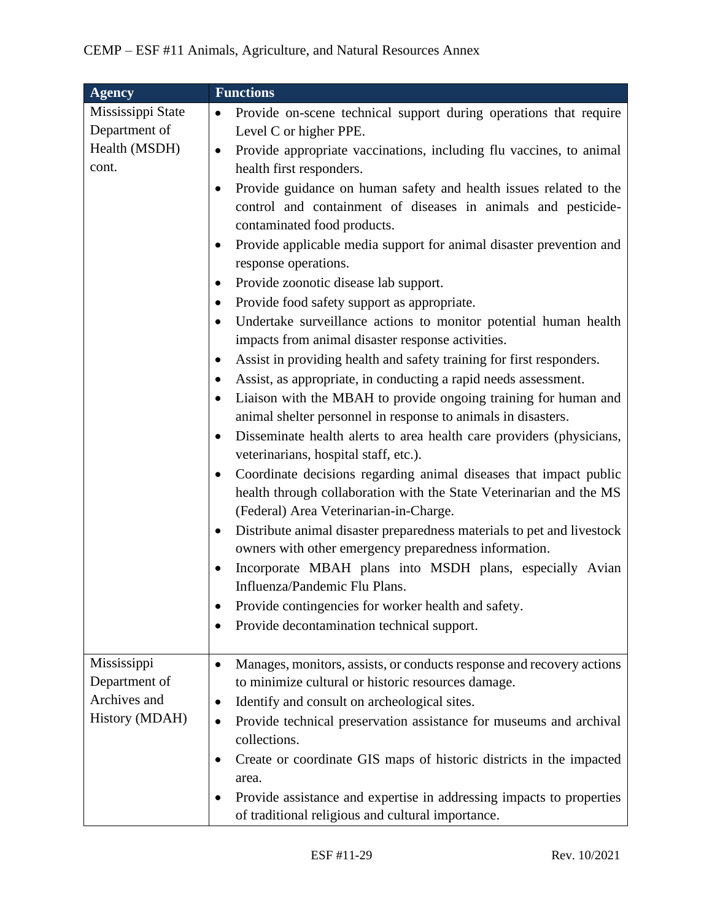| <b>Agency</b>                                       | <b>Functions</b>                                                                                                                                                                                                                                                                                                                                                                                                                                                                                                                                                                                                                                                                                                                                                                                                                                                                                                                                                                                                                                                                                                                                                                                                                                                                                                                                                                                                                         |
|-----------------------------------------------------|------------------------------------------------------------------------------------------------------------------------------------------------------------------------------------------------------------------------------------------------------------------------------------------------------------------------------------------------------------------------------------------------------------------------------------------------------------------------------------------------------------------------------------------------------------------------------------------------------------------------------------------------------------------------------------------------------------------------------------------------------------------------------------------------------------------------------------------------------------------------------------------------------------------------------------------------------------------------------------------------------------------------------------------------------------------------------------------------------------------------------------------------------------------------------------------------------------------------------------------------------------------------------------------------------------------------------------------------------------------------------------------------------------------------------------------|
| Mississippi State<br>Department of<br>Health (MSDH) | Provide on-scene technical support during operations that require<br>$\bullet$<br>Level C or higher PPE.<br>Provide appropriate vaccinations, including flu vaccines, to animal<br>$\bullet$                                                                                                                                                                                                                                                                                                                                                                                                                                                                                                                                                                                                                                                                                                                                                                                                                                                                                                                                                                                                                                                                                                                                                                                                                                             |
| cont.                                               | health first responders.<br>Provide guidance on human safety and health issues related to the<br>control and containment of diseases in animals and pesticide-<br>contaminated food products.<br>Provide applicable media support for animal disaster prevention and<br>٠<br>response operations.<br>Provide zoonotic disease lab support.<br>Provide food safety support as appropriate.<br>$\bullet$<br>Undertake surveillance actions to monitor potential human health<br>$\bullet$<br>impacts from animal disaster response activities.<br>Assist in providing health and safety training for first responders.<br>Assist, as appropriate, in conducting a rapid needs assessment.<br>٠<br>Liaison with the MBAH to provide ongoing training for human and<br>$\bullet$<br>animal shelter personnel in response to animals in disasters.<br>Disseminate health alerts to area health care providers (physicians,<br>$\bullet$<br>veterinarians, hospital staff, etc.).<br>Coordinate decisions regarding animal diseases that impact public<br>$\bullet$<br>health through collaboration with the State Veterinarian and the MS<br>(Federal) Area Veterinarian-in-Charge.<br>Distribute animal disaster preparedness materials to pet and livestock<br>$\bullet$<br>owners with other emergency preparedness information.<br>Incorporate MBAH plans into MSDH plans, especially Avian<br>$\bullet$<br>Influenza/Pandemic Flu Plans. |
|                                                     | Provide contingencies for worker health and safety.<br>Provide decontamination technical support.                                                                                                                                                                                                                                                                                                                                                                                                                                                                                                                                                                                                                                                                                                                                                                                                                                                                                                                                                                                                                                                                                                                                                                                                                                                                                                                                        |
| Mississippi                                         | Manages, monitors, assists, or conducts response and recovery actions<br>$\bullet$                                                                                                                                                                                                                                                                                                                                                                                                                                                                                                                                                                                                                                                                                                                                                                                                                                                                                                                                                                                                                                                                                                                                                                                                                                                                                                                                                       |
| Department of                                       | to minimize cultural or historic resources damage.                                                                                                                                                                                                                                                                                                                                                                                                                                                                                                                                                                                                                                                                                                                                                                                                                                                                                                                                                                                                                                                                                                                                                                                                                                                                                                                                                                                       |
| Archives and                                        | Identify and consult on archeological sites.<br>٠                                                                                                                                                                                                                                                                                                                                                                                                                                                                                                                                                                                                                                                                                                                                                                                                                                                                                                                                                                                                                                                                                                                                                                                                                                                                                                                                                                                        |
| History (MDAH)                                      | Provide technical preservation assistance for museums and archival<br>$\bullet$<br>collections.                                                                                                                                                                                                                                                                                                                                                                                                                                                                                                                                                                                                                                                                                                                                                                                                                                                                                                                                                                                                                                                                                                                                                                                                                                                                                                                                          |
|                                                     | Create or coordinate GIS maps of historic districts in the impacted<br>$\bullet$<br>area.                                                                                                                                                                                                                                                                                                                                                                                                                                                                                                                                                                                                                                                                                                                                                                                                                                                                                                                                                                                                                                                                                                                                                                                                                                                                                                                                                |
|                                                     | Provide assistance and expertise in addressing impacts to properties<br>of traditional religious and cultural importance.                                                                                                                                                                                                                                                                                                                                                                                                                                                                                                                                                                                                                                                                                                                                                                                                                                                                                                                                                                                                                                                                                                                                                                                                                                                                                                                |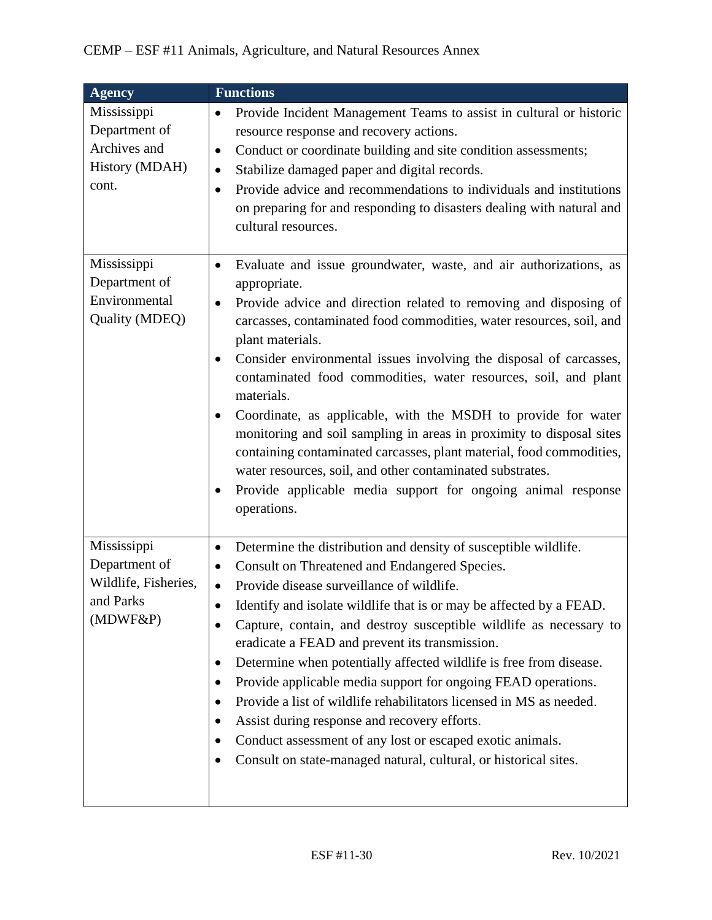| <b>Agency</b>                                                                 | <b>Functions</b>                                                                                                                                                                                                                                                                                                                                                                                                                                                                                                                                                                                                                                                                                                                                                                                                                                    |
|-------------------------------------------------------------------------------|-----------------------------------------------------------------------------------------------------------------------------------------------------------------------------------------------------------------------------------------------------------------------------------------------------------------------------------------------------------------------------------------------------------------------------------------------------------------------------------------------------------------------------------------------------------------------------------------------------------------------------------------------------------------------------------------------------------------------------------------------------------------------------------------------------------------------------------------------------|
| Mississippi<br>Department of<br>Archives and<br>History (MDAH)<br>cont.       | Provide Incident Management Teams to assist in cultural or historic<br>$\bullet$<br>resource response and recovery actions.<br>Conduct or coordinate building and site condition assessments;<br>$\bullet$<br>Stabilize damaged paper and digital records.<br>$\bullet$<br>Provide advice and recommendations to individuals and institutions<br>$\bullet$<br>on preparing for and responding to disasters dealing with natural and<br>cultural resources.                                                                                                                                                                                                                                                                                                                                                                                          |
| Mississippi<br>Department of<br>Environmental<br>Quality (MDEQ)               | Evaluate and issue groundwater, waste, and air authorizations, as<br>$\bullet$<br>appropriate.<br>Provide advice and direction related to removing and disposing of<br>$\bullet$<br>carcasses, contaminated food commodities, water resources, soil, and<br>plant materials.<br>Consider environmental issues involving the disposal of carcasses,<br>$\bullet$<br>contaminated food commodities, water resources, soil, and plant<br>materials.<br>Coordinate, as applicable, with the MSDH to provide for water<br>$\bullet$<br>monitoring and soil sampling in areas in proximity to disposal sites<br>containing contaminated carcasses, plant material, food commodities,<br>water resources, soil, and other contaminated substrates.<br>Provide applicable media support for ongoing animal response<br>٠<br>operations.                     |
| Mississippi<br>Department of<br>Wildlife, Fisheries,<br>and Parks<br>(MDWF&P) | Determine the distribution and density of susceptible wildlife.<br>$\bullet$<br>Consult on Threatened and Endangered Species.<br>$\bullet$<br>Provide disease surveillance of wildlife.<br>$\bullet$<br>Identify and isolate wildlife that is or may be affected by a FEAD.<br>Capture, contain, and destroy susceptible wildlife as necessary to<br>$\bullet$<br>eradicate a FEAD and prevent its transmission.<br>Determine when potentially affected wildlife is free from disease.<br>٠<br>Provide applicable media support for ongoing FEAD operations.<br>Provide a list of wildlife rehabilitators licensed in MS as needed.<br>Assist during response and recovery efforts.<br>$\bullet$<br>Conduct assessment of any lost or escaped exotic animals.<br>$\bullet$<br>Consult on state-managed natural, cultural, or historical sites.<br>٠ |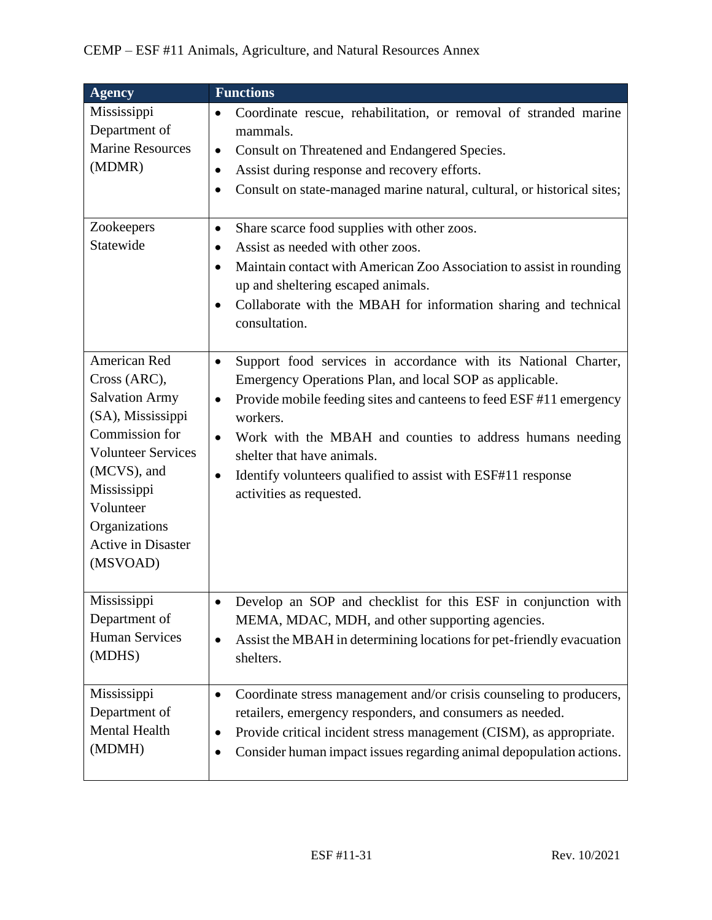| <b>Agency</b>                                                                                                                                                                                                                  | <b>Functions</b>                                                                                                                                                                                                                                                                                                                                                                                                                                        |
|--------------------------------------------------------------------------------------------------------------------------------------------------------------------------------------------------------------------------------|---------------------------------------------------------------------------------------------------------------------------------------------------------------------------------------------------------------------------------------------------------------------------------------------------------------------------------------------------------------------------------------------------------------------------------------------------------|
| Mississippi<br>Department of<br><b>Marine Resources</b><br>(MDMR)                                                                                                                                                              | Coordinate rescue, rehabilitation, or removal of stranded marine<br>$\bullet$<br>mammals.<br>Consult on Threatened and Endangered Species.<br>$\bullet$<br>Assist during response and recovery efforts.<br>$\bullet$<br>Consult on state-managed marine natural, cultural, or historical sites;<br>$\bullet$                                                                                                                                            |
| Zookeepers<br>Statewide                                                                                                                                                                                                        | Share scarce food supplies with other zoos.<br>$\bullet$<br>Assist as needed with other zoos.<br>$\bullet$<br>Maintain contact with American Zoo Association to assist in rounding<br>$\bullet$<br>up and sheltering escaped animals.<br>Collaborate with the MBAH for information sharing and technical<br>$\bullet$<br>consultation.                                                                                                                  |
| American Red<br>Cross (ARC),<br><b>Salvation Army</b><br>(SA), Mississippi<br>Commission for<br><b>Volunteer Services</b><br>(MCVS), and<br>Mississippi<br>Volunteer<br>Organizations<br><b>Active in Disaster</b><br>(MSVOAD) | Support food services in accordance with its National Charter,<br>$\bullet$<br>Emergency Operations Plan, and local SOP as applicable.<br>Provide mobile feeding sites and canteens to feed ESF #11 emergency<br>$\bullet$<br>workers.<br>Work with the MBAH and counties to address humans needing<br>$\bullet$<br>shelter that have animals.<br>Identify volunteers qualified to assist with ESF#11 response<br>$\bullet$<br>activities as requested. |
| Mississippi<br>Department of<br><b>Human Services</b><br>(MDHS)                                                                                                                                                                | Develop an SOP and checklist for this ESF in conjunction with<br>MEMA, MDAC, MDH, and other supporting agencies.<br>Assist the MBAH in determining locations for pet-friendly evacuation<br>$\bullet$<br>shelters.                                                                                                                                                                                                                                      |
| Mississippi<br>Department of<br>Mental Health<br>(MDMH)                                                                                                                                                                        | Coordinate stress management and/or crisis counseling to producers,<br>٠<br>retailers, emergency responders, and consumers as needed.<br>Provide critical incident stress management (CISM), as appropriate.<br>$\bullet$<br>Consider human impact issues regarding animal depopulation actions.<br>٠                                                                                                                                                   |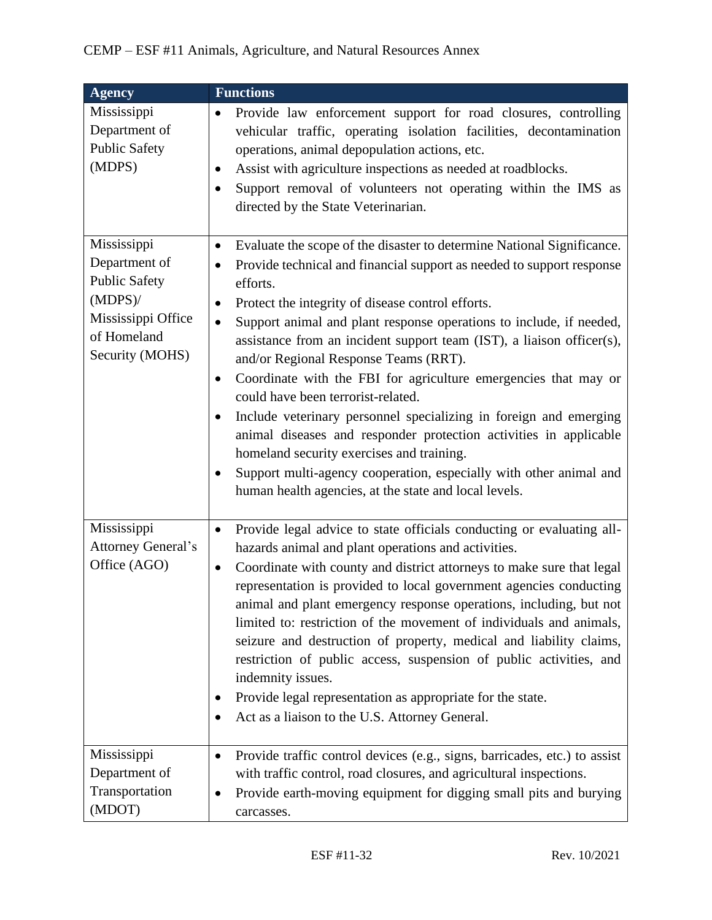| <b>Agency</b>                                                                                                              | <b>Functions</b>                                                                                                                                                                                                                                                                                                                                                                                                                                                                                                                                                                                                                                                                                                                                                                                                                                                                                                    |
|----------------------------------------------------------------------------------------------------------------------------|---------------------------------------------------------------------------------------------------------------------------------------------------------------------------------------------------------------------------------------------------------------------------------------------------------------------------------------------------------------------------------------------------------------------------------------------------------------------------------------------------------------------------------------------------------------------------------------------------------------------------------------------------------------------------------------------------------------------------------------------------------------------------------------------------------------------------------------------------------------------------------------------------------------------|
| Mississippi<br>Department of<br><b>Public Safety</b><br>(MDPS)                                                             | Provide law enforcement support for road closures, controlling<br>$\bullet$<br>vehicular traffic, operating isolation facilities, decontamination<br>operations, animal depopulation actions, etc.<br>Assist with agriculture inspections as needed at roadblocks.<br>$\bullet$<br>Support removal of volunteers not operating within the IMS as<br>directed by the State Veterinarian.                                                                                                                                                                                                                                                                                                                                                                                                                                                                                                                             |
| Mississippi<br>Department of<br><b>Public Safety</b><br>$(MDPS)$ /<br>Mississippi Office<br>of Homeland<br>Security (MOHS) | Evaluate the scope of the disaster to determine National Significance.<br>$\bullet$<br>Provide technical and financial support as needed to support response<br>$\bullet$<br>efforts.<br>Protect the integrity of disease control efforts.<br>$\bullet$<br>Support animal and plant response operations to include, if needed,<br>$\bullet$<br>assistance from an incident support team (IST), a liaison officer(s),<br>and/or Regional Response Teams (RRT).<br>Coordinate with the FBI for agriculture emergencies that may or<br>٠<br>could have been terrorist-related.<br>Include veterinary personnel specializing in foreign and emerging<br>$\bullet$<br>animal diseases and responder protection activities in applicable<br>homeland security exercises and training.<br>Support multi-agency cooperation, especially with other animal and<br>٠<br>human health agencies, at the state and local levels. |
| Mississippi<br><b>Attorney General's</b><br>Office (AGO)                                                                   | Provide legal advice to state officials conducting or evaluating all-<br>$\bullet$<br>hazards animal and plant operations and activities.<br>Coordinate with county and district attorneys to make sure that legal<br>$\bullet$<br>representation is provided to local government agencies conducting<br>animal and plant emergency response operations, including, but not<br>limited to: restriction of the movement of individuals and animals,<br>seizure and destruction of property, medical and liability claims,<br>restriction of public access, suspension of public activities, and<br>indemnity issues.<br>Provide legal representation as appropriate for the state.<br>$\bullet$<br>Act as a liaison to the U.S. Attorney General.<br>٠                                                                                                                                                               |
| Mississippi<br>Department of<br>Transportation<br>(MDOT)                                                                   | Provide traffic control devices (e.g., signs, barricades, etc.) to assist<br>$\bullet$<br>with traffic control, road closures, and agricultural inspections.<br>Provide earth-moving equipment for digging small pits and burying<br>٠<br>carcasses.                                                                                                                                                                                                                                                                                                                                                                                                                                                                                                                                                                                                                                                                |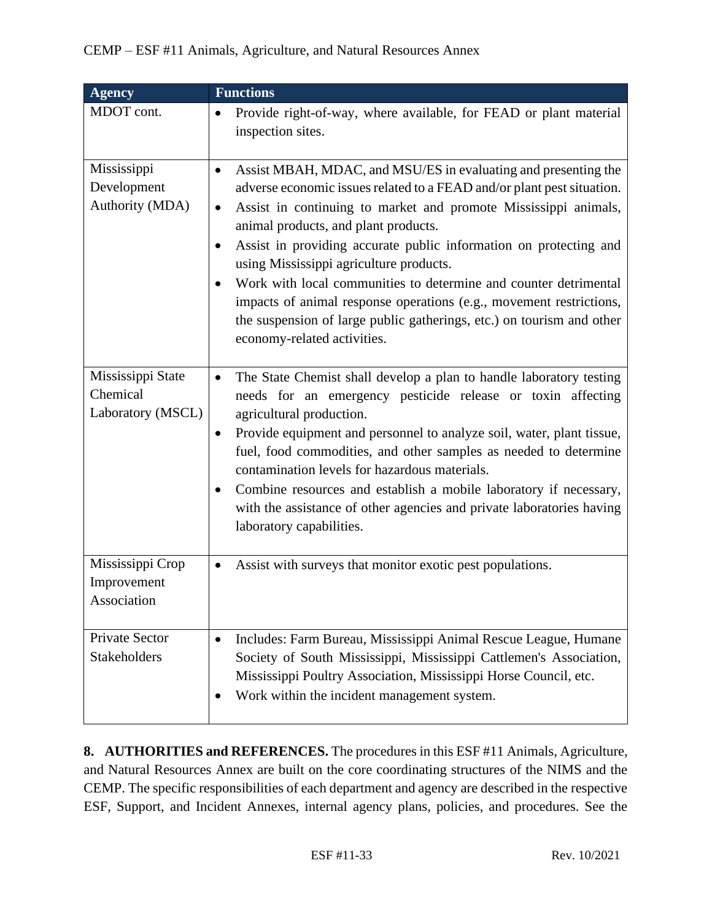| <b>Agency</b>                                      | <b>Functions</b>                                                                                                                                                                                                                                                                                                                                                                                                                                                                                                                                                                                                                                                           |
|----------------------------------------------------|----------------------------------------------------------------------------------------------------------------------------------------------------------------------------------------------------------------------------------------------------------------------------------------------------------------------------------------------------------------------------------------------------------------------------------------------------------------------------------------------------------------------------------------------------------------------------------------------------------------------------------------------------------------------------|
| MDOT cont.                                         | Provide right-of-way, where available, for FEAD or plant material<br>٠<br>inspection sites.                                                                                                                                                                                                                                                                                                                                                                                                                                                                                                                                                                                |
| Mississippi<br>Development<br>Authority (MDA)      | Assist MBAH, MDAC, and MSU/ES in evaluating and presenting the<br>$\bullet$<br>adverse economic issues related to a FEAD and/or plant pest situation.<br>Assist in continuing to market and promote Mississippi animals,<br>$\bullet$<br>animal products, and plant products.<br>Assist in providing accurate public information on protecting and<br>$\bullet$<br>using Mississippi agriculture products.<br>Work with local communities to determine and counter detrimental<br>$\bullet$<br>impacts of animal response operations (e.g., movement restrictions,<br>the suspension of large public gatherings, etc.) on tourism and other<br>economy-related activities. |
| Mississippi State<br>Chemical<br>Laboratory (MSCL) | The State Chemist shall develop a plan to handle laboratory testing<br>$\bullet$<br>needs for an emergency pesticide release or toxin affecting<br>agricultural production.<br>Provide equipment and personnel to analyze soil, water, plant tissue,<br>٠<br>fuel, food commodities, and other samples as needed to determine<br>contamination levels for hazardous materials.<br>Combine resources and establish a mobile laboratory if necessary,<br>$\bullet$<br>with the assistance of other agencies and private laboratories having<br>laboratory capabilities.                                                                                                      |
| Mississippi Crop<br>Improvement<br>Association     | Assist with surveys that monitor exotic pest populations.<br>$\bullet$                                                                                                                                                                                                                                                                                                                                                                                                                                                                                                                                                                                                     |
| Private Sector<br><b>Stakeholders</b>              | Includes: Farm Bureau, Mississippi Animal Rescue League, Humane<br>$\bullet$<br>Society of South Mississippi, Mississippi Cattlemen's Association,<br>Mississippi Poultry Association, Mississippi Horse Council, etc.<br>Work within the incident management system.                                                                                                                                                                                                                                                                                                                                                                                                      |

**8. AUTHORITIES and REFERENCES.** The procedures in this ESF #11 Animals, Agriculture, and Natural Resources Annex are built on the core coordinating structures of the NIMS and the CEMP. The specific responsibilities of each department and agency are described in the respective ESF, Support, and Incident Annexes, internal agency plans, policies, and procedures. See the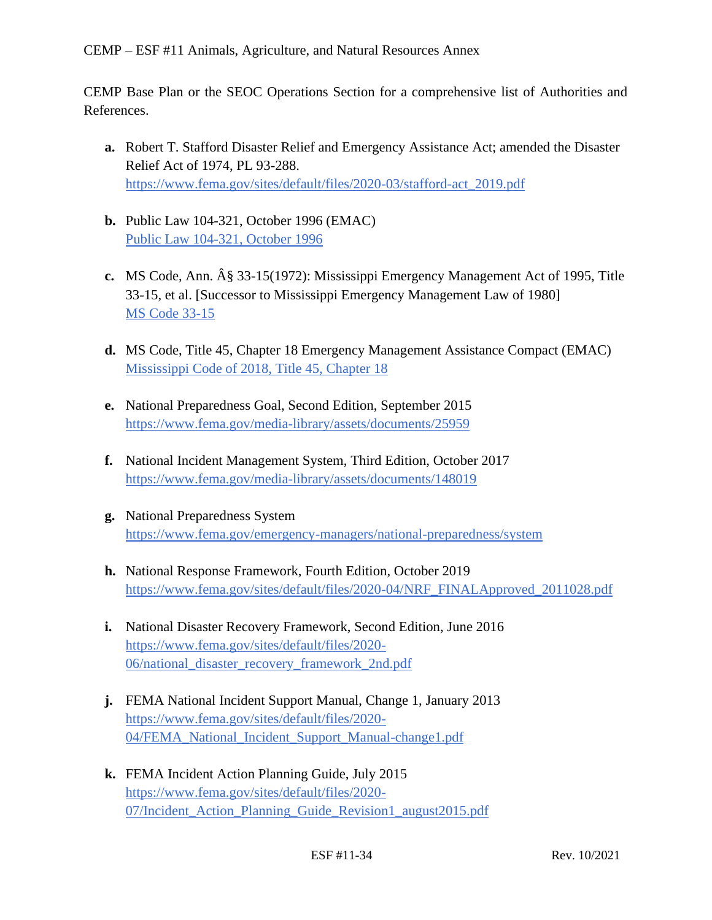CEMP Base Plan or the SEOC Operations Section for a comprehensive list of Authorities and References.

- **a.** Robert T. Stafford Disaster Relief and Emergency Assistance Act; amended the Disaster Relief Act of 1974, PL 93-288. [https://www.fema.gov/sites/default/files/2020-03/stafford-act\\_2019.pdf](https://www.fema.gov/sites/default/files/2020-03/stafford-act_2019.pdf)
- **b.** Public Law 104-321, October 1996 (EMAC) [Public Law 104-321, October 1996](https://www.congress.gov/104/plaws/publ321/PLAW-104publ321.pdf)
- **c.** MS Code, Ann. § 33-15(1972): Mississippi Emergency Management Act of 1995, Title 33-15, et al. [Successor to Mississippi Emergency Management Law of 1980] [MS Code 33-15](https://law.justia.com/codes/mississippi/2010/title-33/15/)
- **d.** MS Code, Title 45, Chapter 18 Emergency Management Assistance Compact (EMAC) [Mississippi Code of 2018, Title 45, Chapter 18](https://law.justia.com/codes/mississippi/2018/title-45/chapter-18/)
- **e.** National Preparedness Goal, Second Edition, September 2015 <https://www.fema.gov/media-library/assets/documents/25959>
- **f.** National Incident Management System, Third Edition, October 2017 <https://www.fema.gov/media-library/assets/documents/148019>
- **g.** National Preparedness System <https://www.fema.gov/emergency-managers/national-preparedness/system>
- **h.** National Response Framework, Fourth Edition, October 2019 [https://www.fema.gov/sites/default/files/2020-04/NRF\\_FINALApproved\\_2011028.pdf](https://www.fema.gov/sites/default/files/2020-04/NRF_FINALApproved_2011028.pdf)
- **i.** National Disaster Recovery Framework, Second Edition, June 2016 [https://www.fema.gov/sites/default/files/2020-](https://www.fema.gov/sites/default/files/2020-06/national_disaster_recovery_framework_2nd.pdf) [06/national\\_disaster\\_recovery\\_framework\\_2nd.pdf](https://www.fema.gov/sites/default/files/2020-06/national_disaster_recovery_framework_2nd.pdf)
- **j.** FEMA National Incident Support Manual, Change 1, January 2013 [https://www.fema.gov/sites/default/files/2020-](https://www.fema.gov/sites/default/files/2020-04/FEMA_National_Incident_Support_Manual-change1.pdf) [04/FEMA\\_National\\_Incident\\_Support\\_Manual-change1.pdf](https://www.fema.gov/sites/default/files/2020-04/FEMA_National_Incident_Support_Manual-change1.pdf)
- **k.** FEMA Incident Action Planning Guide, July 2015 [https://www.fema.gov/sites/default/files/2020-](https://www.fema.gov/sites/default/files/2020-07/Incident_Action_Planning_Guide_Revision1_august2015.pdf) [07/Incident\\_Action\\_Planning\\_Guide\\_Revision1\\_august2015.pdf](https://www.fema.gov/sites/default/files/2020-07/Incident_Action_Planning_Guide_Revision1_august2015.pdf)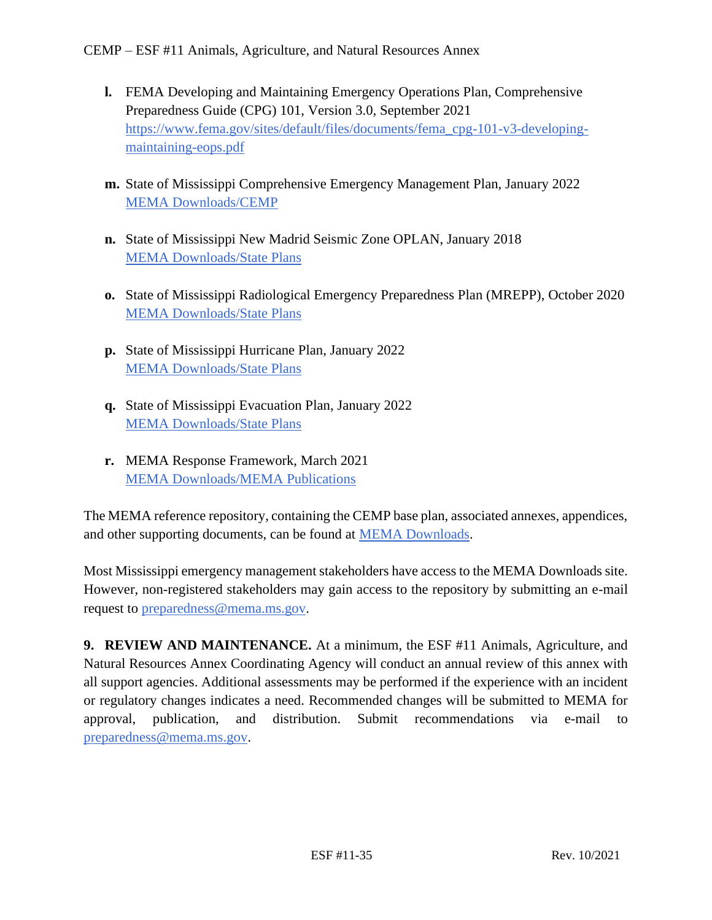- **l.** FEMA Developing and Maintaining Emergency Operations Plan, Comprehensive Preparedness Guide (CPG) 101, Version 3.0, September 2021 [https://www.fema.gov/sites/default/files/documents/fema\\_cpg-101-v3-developing](https://www.fema.gov/sites/default/files/documents/fema_cpg-101-v3-developing-maintaining-eops.pdf)[maintaining-eops.pdf](https://www.fema.gov/sites/default/files/documents/fema_cpg-101-v3-developing-maintaining-eops.pdf)
- **m.** State of Mississippi Comprehensive Emergency Management Plan, January 2022 [MEMA Downloads/CEMP](https://msmema.sharepoint.com/Shared%20Documents/Forms/AllItems.aspx?id=%2FShared%20Documents%2FMEMA%20Downloads%2FComprehensive%20Emergency%20Management%20Plan%20%2D%202022&viewid=8f98db8b%2D85b5%2D471a%2Db3cc%2D6cc4ee9e7407)
- **n.** State of Mississippi New Madrid Seismic Zone OPLAN, January 2018 [MEMA Downloads/State Plans](https://msmema.sharepoint.com/Shared%20Documents/Forms/AllItems.aspx?viewid=8f98db8b%2D85b5%2D471a%2Db3cc%2D6cc4ee9e7407&id=%2FShared%20Documents%2FMEMA%20Downloads%2FState%20Plans)
- **o.** State of Mississippi Radiological Emergency Preparedness Plan (MREPP), October 2020 [MEMA Downloads/State Plans](https://msmema.sharepoint.com/Shared%20Documents/Forms/AllItems.aspx?viewid=8f98db8b%2D85b5%2D471a%2Db3cc%2D6cc4ee9e7407&id=%2FShared%20Documents%2FMEMA%20Downloads%2FState%20Plans)
- **p.** State of Mississippi Hurricane Plan, January 2022 [MEMA Downloads/State Plans](https://msmema.sharepoint.com/Shared%20Documents/Forms/AllItems.aspx?viewid=8f98db8b%2D85b5%2D471a%2Db3cc%2D6cc4ee9e7407&id=%2FShared%20Documents%2FMEMA%20Downloads%2FState%20Plans)
- **q.** State of Mississippi Evacuation Plan, January 2022 [MEMA Downloads/State Plans](https://msmema.sharepoint.com/Shared%20Documents/Forms/AllItems.aspx?viewid=8f98db8b%2D85b5%2D471a%2Db3cc%2D6cc4ee9e7407&id=%2FShared%20Documents%2FMEMA%20Downloads%2FState%20Plans)
- **r.** MEMA Response Framework, March 2021 [MEMA Downloads/MEMA Publications](https://msmema.sharepoint.com/Shared%20Documents/Forms/AllItems.aspx?viewid=8f98db8b%2D85b5%2D471a%2Db3cc%2D6cc4ee9e7407&id=%2FShared%20Documents%2FMEMA%20Downloads%2FMEMA%20Publications)

The MEMA reference repository, containing the CEMP base plan, associated annexes, appendices, and other supporting documents, can be found at [MEMA Downloads.](https://msmema.sharepoint.com/:f:/g/EqOo4aFNl0dPjja3MdSpSSsBlSoSLEznRJvlUGHnID2Crw?e=G23aoB)

Most Mississippi emergency management stakeholders have access to the MEMA Downloads site. However, non-registered stakeholders may gain access to the repository by submitting an e-mail request to [preparedness@mema.ms.gov.](mailto:preparedness@mema.ms.gov)

**9. REVIEW AND MAINTENANCE.** At a minimum, the ESF #11 Animals, Agriculture, and Natural Resources Annex Coordinating Agency will conduct an annual review of this annex with all support agencies. Additional assessments may be performed if the experience with an incident or regulatory changes indicates a need. Recommended changes will be submitted to MEMA for approval, publication, and distribution. Submit recommendations via e-mail to [preparedness@mema.ms.gov.](mailto:preparedness@mema.ms.gov)